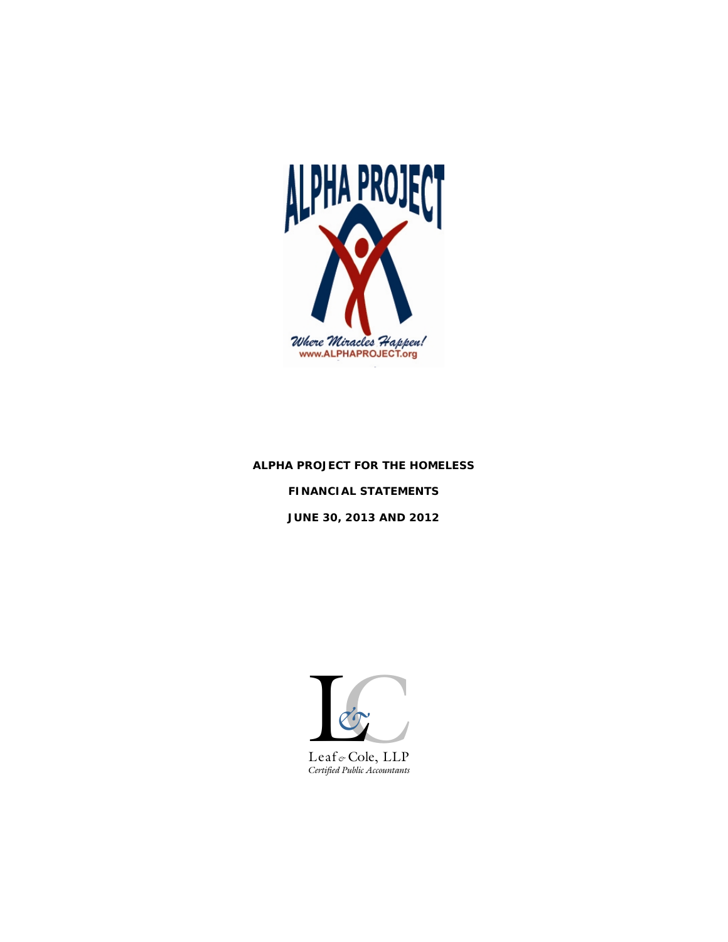



*Certified Public Accountants*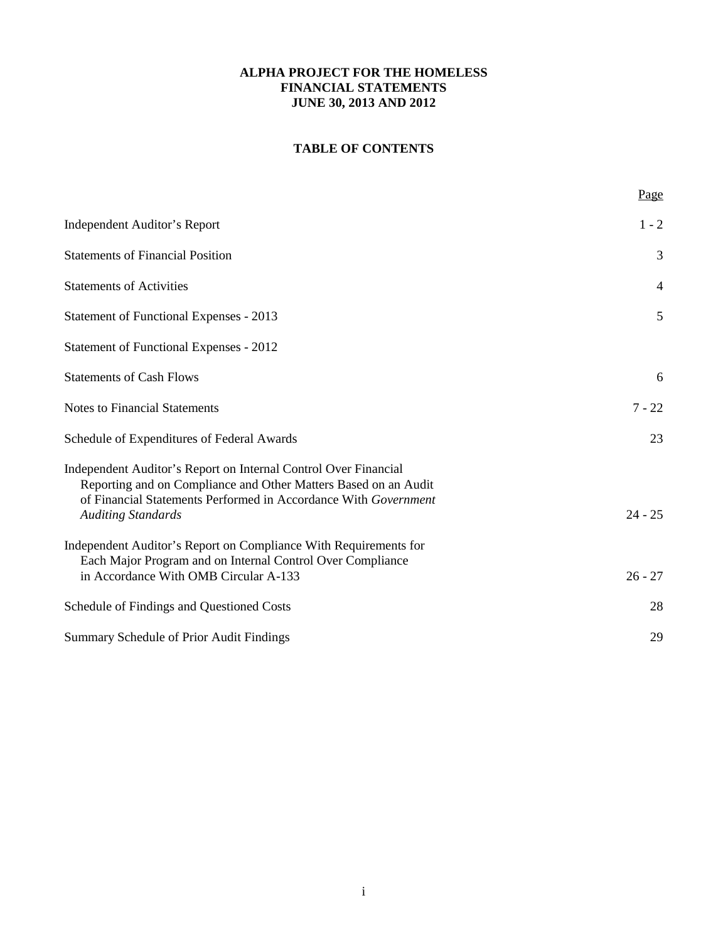## **TABLE OF CONTENTS**

|                                                                                                                                                                                                                                    | Page           |
|------------------------------------------------------------------------------------------------------------------------------------------------------------------------------------------------------------------------------------|----------------|
| <b>Independent Auditor's Report</b>                                                                                                                                                                                                | $1 - 2$        |
| <b>Statements of Financial Position</b>                                                                                                                                                                                            | 3              |
| <b>Statements of Activities</b>                                                                                                                                                                                                    | $\overline{4}$ |
| Statement of Functional Expenses - 2013                                                                                                                                                                                            | 5              |
| <b>Statement of Functional Expenses - 2012</b>                                                                                                                                                                                     |                |
| <b>Statements of Cash Flows</b>                                                                                                                                                                                                    | 6              |
| <b>Notes to Financial Statements</b>                                                                                                                                                                                               | $7 - 22$       |
| Schedule of Expenditures of Federal Awards                                                                                                                                                                                         | 23             |
| Independent Auditor's Report on Internal Control Over Financial<br>Reporting and on Compliance and Other Matters Based on an Audit<br>of Financial Statements Performed in Accordance With Government<br><b>Auditing Standards</b> | $24 - 25$      |
| Independent Auditor's Report on Compliance With Requirements for<br>Each Major Program and on Internal Control Over Compliance<br>in Accordance With OMB Circular A-133                                                            | $26 - 27$      |
| Schedule of Findings and Questioned Costs                                                                                                                                                                                          | 28             |
| Summary Schedule of Prior Audit Findings                                                                                                                                                                                           | 29             |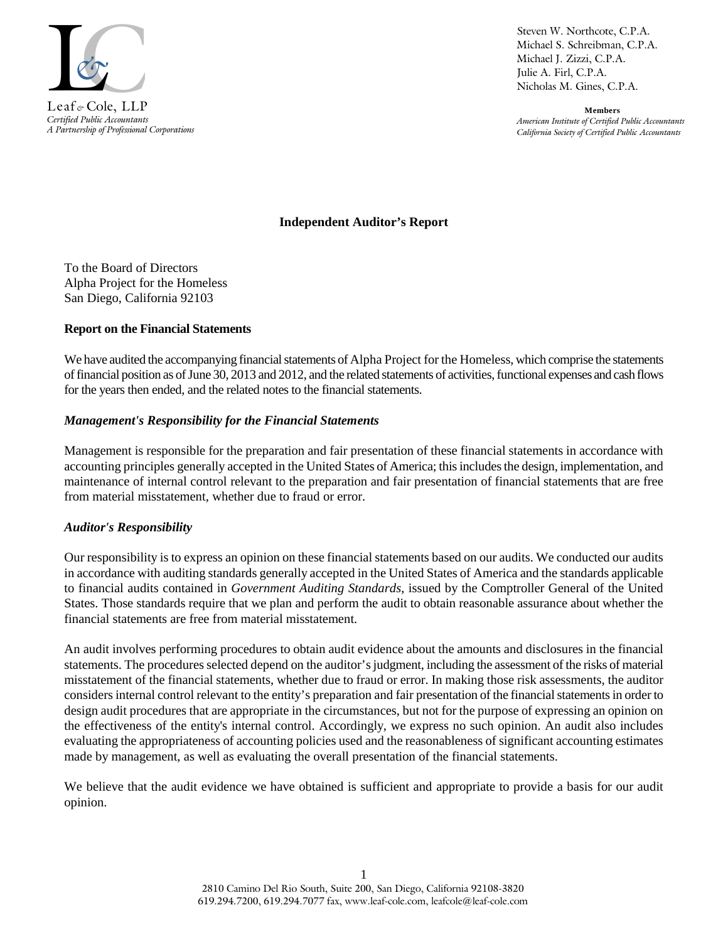

*Certified Public Accountants A Partnership of Professional Corporations* Steven W. Northcote, C.P.A. Michael S. Schreibman, C.P.A. Michael J. Zizzi, C.P.A. Julie A. Firl, C.P.A. Nicholas M. Gines, C.P.A.

**Members** *American Institute of Certified Public Accountants California Society of Certified Public Accountants*

## **Independent Auditor's Report**

To the Board of Directors Alpha Project for the Homeless San Diego, California 92103

## **Report on the Financial Statements**

We have audited the accompanying financial statements of Alpha Project for the Homeless, which comprise the statements of financial position as of June 30, 2013 and 2012, and the related statements of activities, functional expenses and cash flows for the years then ended, and the related notes to the financial statements.

#### *Management's Responsibility for the Financial Statements*

Management is responsible for the preparation and fair presentation of these financial statements in accordance with accounting principles generally accepted in the United States of America; this includes the design, implementation, and maintenance of internal control relevant to the preparation and fair presentation of financial statements that are free from material misstatement, whether due to fraud or error.

## *Auditor's Responsibility*

Our responsibility is to express an opinion on these financial statements based on our audits. We conducted our audits in accordance with auditing standards generally accepted in the United States of America and the standards applicable to financial audits contained in *Government Auditing Standards*, issued by the Comptroller General of the United States. Those standards require that we plan and perform the audit to obtain reasonable assurance about whether the financial statements are free from material misstatement.

An audit involves performing procedures to obtain audit evidence about the amounts and disclosures in the financial statements. The procedures selected depend on the auditor's judgment, including the assessment of the risks of material misstatement of the financial statements, whether due to fraud or error. In making those risk assessments, the auditor considers internal control relevant to the entity's preparation and fair presentation of the financial statements in order to design audit procedures that are appropriate in the circumstances, but not for the purpose of expressing an opinion on the effectiveness of the entity's internal control. Accordingly, we express no such opinion. An audit also includes evaluating the appropriateness of accounting policies used and the reasonableness of significant accounting estimates made by management, as well as evaluating the overall presentation of the financial statements.

We believe that the audit evidence we have obtained is sufficient and appropriate to provide a basis for our audit opinion.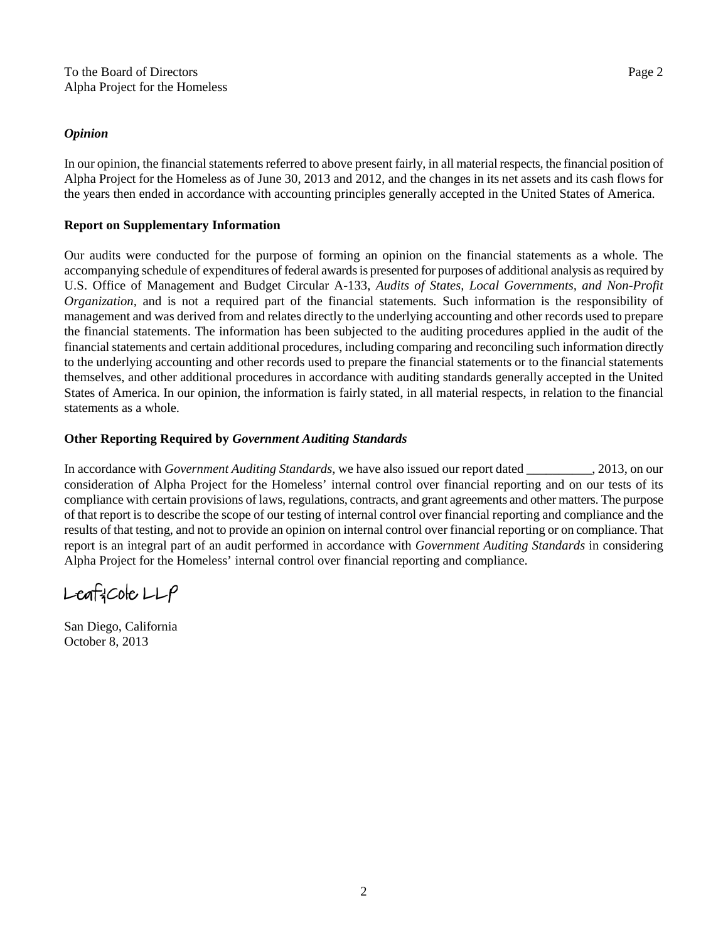## *Opinion*

In our opinion, the financial statements referred to above present fairly, in all material respects, the financial position of Alpha Project for the Homeless as of June 30, 2013 and 2012, and the changes in its net assets and its cash flows for the years then ended in accordance with accounting principles generally accepted in the United States of America.

## **Report on Supplementary Information**

Our audits were conducted for the purpose of forming an opinion on the financial statements as a whole. The accompanying schedule of expenditures of federal awards is presented for purposes of additional analysis as required by U.S. Office of Management and Budget Circular A-133, *Audits of States, Local Governments, and Non-Profit Organization,* and is not a required part of the financial statements*.* Such information is the responsibility of management and was derived from and relates directly to the underlying accounting and other records used to prepare the financial statements. The information has been subjected to the auditing procedures applied in the audit of the financial statements and certain additional procedures, including comparing and reconciling such information directly to the underlying accounting and other records used to prepare the financial statements or to the financial statements themselves, and other additional procedures in accordance with auditing standards generally accepted in the United States of America. In our opinion, the information is fairly stated, in all material respects, in relation to the financial statements as a whole.

# **Other Reporting Required by** *Government Auditing Standards*

In accordance with *Government Auditing Standards*, we have also issued our report dated \_\_\_\_\_\_\_\_\_\_, 2013, on our consideration of Alpha Project for the Homeless' internal control over financial reporting and on our tests of its compliance with certain provisions of laws, regulations, contracts, and grant agreements and other matters. The purpose of that report is to describe the scope of our testing of internal control over financial reporting and compliance and the results of that testing, and not to provide an opinion on internal control over financial reporting or on compliance. That report is an integral part of an audit performed in accordance with *Government Auditing Standards* in considering Alpha Project for the Homeless' internal control over financial reporting and compliance.

 $L$ eaf $C$ ole $L L$  $\rho$ 

San Diego, California October 8, 2013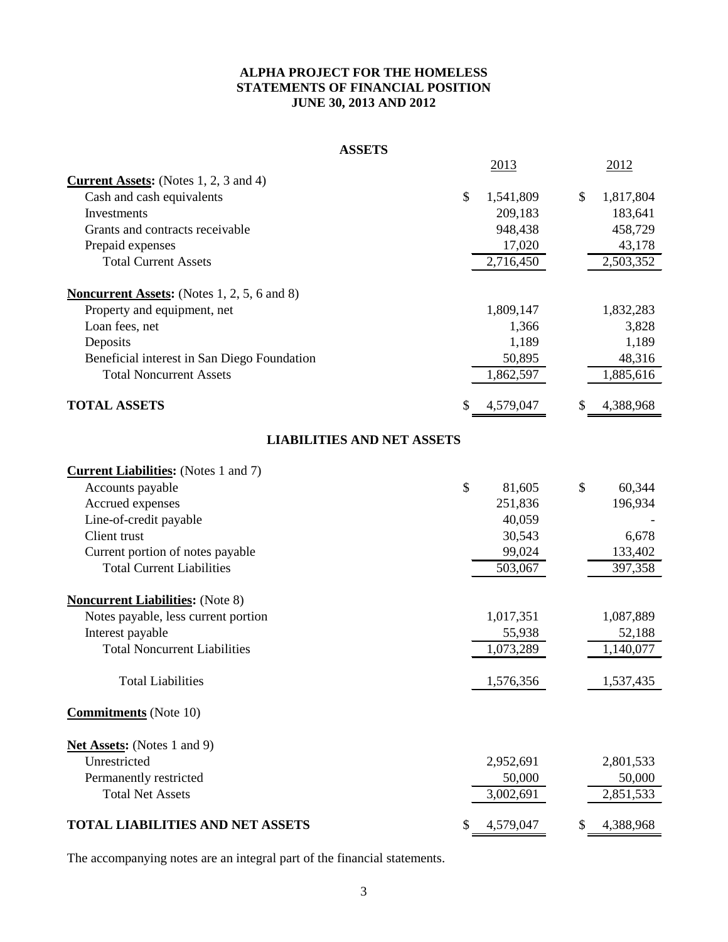## **ALPHA PROJECT FOR THE HOMELESS STATEMENTS OF FINANCIAL POSITION JUNE 30, 2013 AND 2012**

| <b>ASSETS</b>                                      |                 |                 |
|----------------------------------------------------|-----------------|-----------------|
|                                                    | 2013            | 2012            |
| <b>Current Assets:</b> (Notes 1, 2, 3 and 4)       |                 |                 |
| Cash and cash equivalents                          | \$<br>1,541,809 | \$<br>1,817,804 |
| Investments                                        | 209,183         | 183,641         |
| Grants and contracts receivable                    | 948,438         | 458,729         |
| Prepaid expenses                                   | 17,020          | 43,178          |
| <b>Total Current Assets</b>                        | 2,716,450       | 2,503,352       |
| <b>Noncurrent Assets:</b> (Notes 1, 2, 5, 6 and 8) |                 |                 |
| Property and equipment, net                        | 1,809,147       | 1,832,283       |
| Loan fees, net                                     | 1,366           | 3,828           |
| Deposits                                           | 1,189           | 1,189           |
| Beneficial interest in San Diego Foundation        | 50,895          | 48,316          |
| <b>Total Noncurrent Assets</b>                     | 1,862,597       | 1,885,616       |
| <b>TOTAL ASSETS</b>                                | \$<br>4,579,047 | \$<br>4,388,968 |
| <b>LIABILITIES AND NET ASSETS</b>                  |                 |                 |
| <b>Current Liabilities:</b> (Notes 1 and 7)        |                 |                 |
| Accounts payable                                   | \$<br>81,605    | \$<br>60,344    |
| Accrued expenses                                   | 251,836         | 196,934         |
| Line-of-credit payable                             | 40,059          |                 |
| Client trust                                       | 30,543          | 6,678           |
| Current portion of notes payable                   | 99,024          | 133,402         |
| <b>Total Current Liabilities</b>                   | 503,067         | 397,358         |
| <b>Noncurrent Liabilities:</b> (Note 8)            |                 |                 |
| Notes payable, less current portion                | 1,017,351       | 1,087,889       |
| Interest payable                                   | 55,938          | 52,188          |
| <b>Total Noncurrent Liabilities</b>                | 1,073,289       | 1,140,077       |
| <b>Total Liabilities</b>                           | 1,576,356       | 1,537,435       |
| <b>Commitments</b> (Note 10)                       |                 |                 |
| <b>Net Assets:</b> (Notes 1 and 9)                 |                 |                 |
| Unrestricted                                       | 2,952,691       | 2,801,533       |
| Permanently restricted                             | 50,000          | 50,000          |
| <b>Total Net Assets</b>                            | 3,002,691       | 2,851,533       |
| <b>TOTAL LIABILITIES AND NET ASSETS</b>            | \$<br>4,579,047 | \$<br>4,388,968 |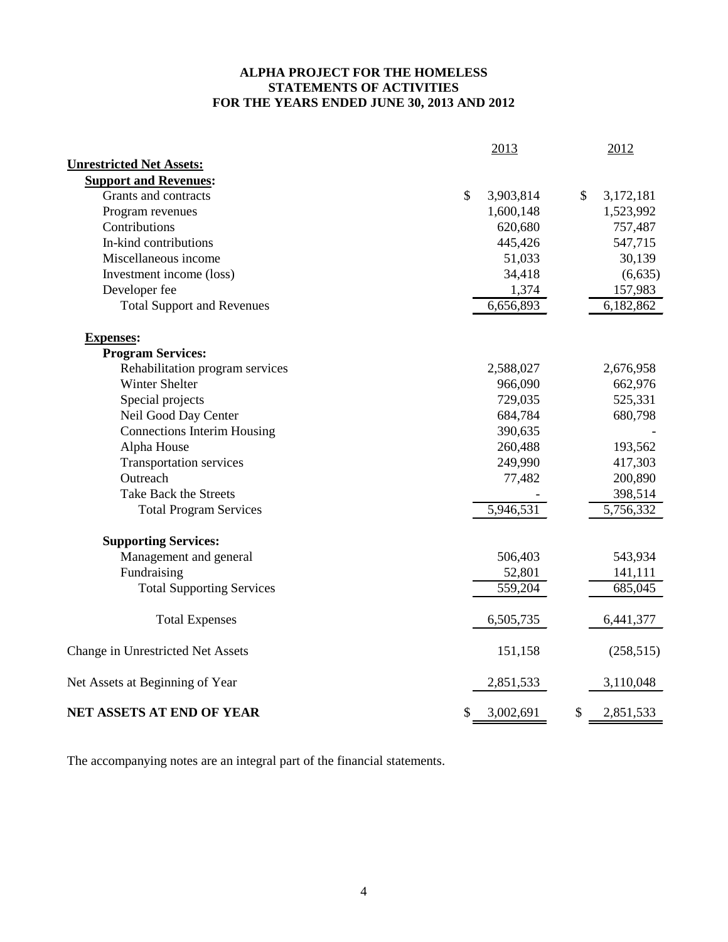# **ALPHA PROJECT FOR THE HOMELESS STATEMENTS OF ACTIVITIES FOR THE YEARS ENDED JUNE 30, 2013 AND 2012**

|                                    | 2013                       | 2012                      |
|------------------------------------|----------------------------|---------------------------|
| <b>Unrestricted Net Assets:</b>    |                            |                           |
| <b>Support and Revenues:</b>       |                            |                           |
| Grants and contracts               | $\mathsf{\$}$<br>3,903,814 | 3,172,181<br>$\mathbb{S}$ |
| Program revenues                   | 1,600,148                  | 1,523,992                 |
| Contributions                      | 620,680                    | 757,487                   |
| In-kind contributions              | 445,426                    | 547,715                   |
| Miscellaneous income               | 51,033                     | 30,139                    |
| Investment income (loss)           | 34,418                     | (6,635)                   |
| Developer fee                      | 1,374                      | 157,983                   |
| <b>Total Support and Revenues</b>  | 6,656,893                  | $\overline{6}$ , 182, 862 |
| <b>Expenses:</b>                   |                            |                           |
| <b>Program Services:</b>           |                            |                           |
| Rehabilitation program services    | 2,588,027                  | 2,676,958                 |
| Winter Shelter                     | 966,090                    | 662,976                   |
| Special projects                   | 729,035                    | 525,331                   |
| Neil Good Day Center               | 684,784                    | 680,798                   |
| <b>Connections Interim Housing</b> | 390,635                    |                           |
| Alpha House                        | 260,488                    | 193,562                   |
| Transportation services            | 249,990                    | 417,303                   |
| Outreach                           | 77,482                     | 200,890                   |
| <b>Take Back the Streets</b>       |                            | 398,514                   |
| <b>Total Program Services</b>      | $\overline{5,946,531}$     | 5,756,332                 |
| <b>Supporting Services:</b>        |                            |                           |
| Management and general             | 506,403                    | 543,934                   |
| Fundraising                        | 52,801                     | 141,111                   |
| <b>Total Supporting Services</b>   | 559,204                    | 685,045                   |
| <b>Total Expenses</b>              | 6,505,735                  | 6,441,377                 |
| Change in Unrestricted Net Assets  | 151,158                    | (258, 515)                |
| Net Assets at Beginning of Year    | 2,851,533                  | 3,110,048                 |
| <b>NET ASSETS AT END OF YEAR</b>   | \$<br>3,002,691            | \$<br>2,851,533           |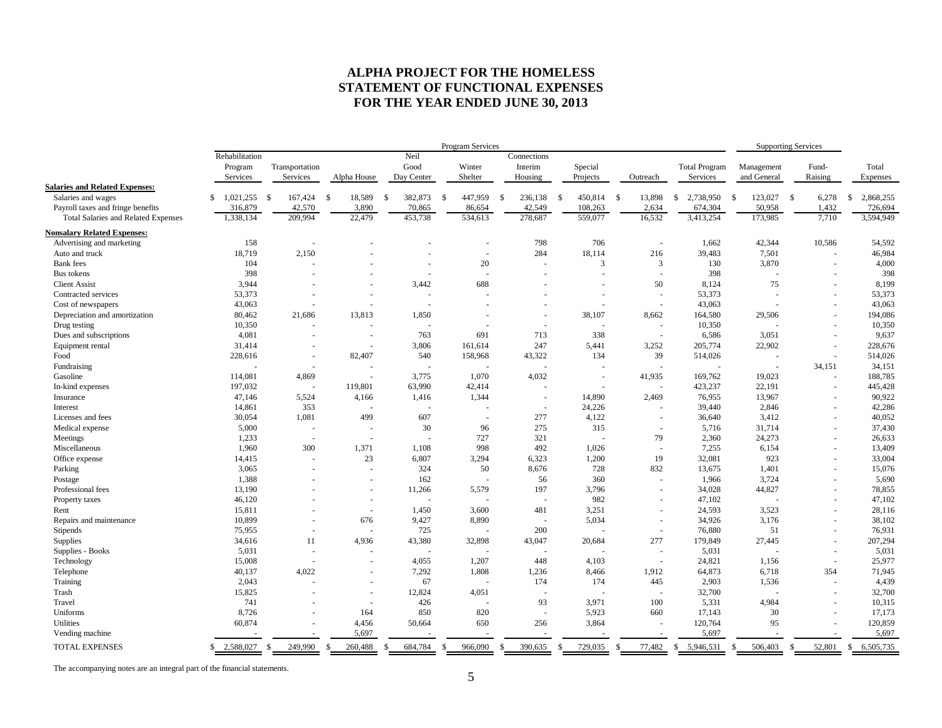## **ALPHA PROJECT FOR THE HOMELESS STATEMENT OF FUNCTIONAL EXPENSES FOR THE YEAR ENDED JUNE 30, 2013**

|                                            |                 |                |                          |               | Program Services         |                             |                |                          |                            |                         | <b>Supporting Services</b> |                 |
|--------------------------------------------|-----------------|----------------|--------------------------|---------------|--------------------------|-----------------------------|----------------|--------------------------|----------------------------|-------------------------|----------------------------|-----------------|
|                                            | Rehabilitation  |                |                          | Neil          |                          | Connections                 |                |                          |                            |                         |                            |                 |
|                                            | Program         | Transportation |                          | Good          | Winter                   | Interim                     | Special        |                          | <b>Total Program</b>       | Management              | Fund-                      | Total           |
|                                            | Services        | Services       | Alpha House              | Day Center    | Shelter                  | Housing                     | Projects       | Outreach                 | Services                   | and General             | Raising                    | Expenses        |
| <b>Salaries and Related Expenses:</b>      |                 |                |                          |               |                          |                             |                |                          |                            |                         |                            |                 |
| Salaries and wages                         | $$1,021,255$ \$ | 167,424        | 18,589<br>- \$           | 382,873<br>\$ | 447,959<br>$\mathbb{S}$  | 236,138<br>-\$              | 450,814<br>\$  | <sup>\$</sup><br>13,898  | 2,738,950<br>\$            | 123,027<br>-\$          | $\mathcal{S}$<br>6,278     | 2,868,255<br>\$ |
| Payroll taxes and fringe benefits          | 316,879         | 42,570         | 3,890                    | 70,865        | 86,654                   | 42,549                      | 108,263        | 2,634                    | 674,304                    | 50,958                  | 1,432                      | 726,694         |
| <b>Total Salaries and Related Expenses</b> | 1,338,134       | 209,994        | 22,479                   | 453,738       | 534,613                  | 278,687                     | 559,077        | 16,532                   | 3,413,254                  | 173,985                 | 7,710                      | 3,594,949       |
| <b>Nonsalary Related Expenses:</b>         |                 |                |                          |               |                          |                             |                |                          |                            |                         |                            |                 |
| Advertising and marketing                  | 158             | ÷,             |                          |               |                          | 798                         | 706            | ä,                       | 1,662                      | 42.344                  | 10,586                     | 54,592          |
| Auto and truck                             | 18,719          | 2,150          |                          |               | $\sim$                   | 284                         | 18,114         | 216                      | 39,483                     | 7,501                   | ÷,                         | 46,984          |
| <b>Bank</b> fees                           | 104             |                |                          |               | 20                       | $\overline{\phantom{a}}$    | 3              | 3                        | 130                        | 3,870                   |                            | 4,000           |
| Bus tokens                                 | 398             |                |                          |               |                          | $\overline{\phantom{a}}$    |                | $\overline{\phantom{a}}$ | 398                        |                         | ÷,                         | 398             |
| <b>Client Assist</b>                       | 3.944           |                |                          | 3.442         | 688                      |                             |                | 50                       | 8,124                      | 75                      |                            | 8,199           |
| Contracted services                        | 53,373          |                | $\overline{\phantom{a}}$ |               |                          |                             |                | $\overline{\phantom{a}}$ | 53,373                     |                         | ٠                          | 53,373          |
| Cost of newspapers                         | 43,063          |                |                          |               |                          |                             |                | ä,                       | 43,063                     |                         |                            | 43,063          |
| Depreciation and amortization              | 80,462          | 21,686         | 13,813                   | 1,850         |                          |                             | 38,107         | 8,662                    | 164,580                    | 29,506                  | ÷,                         | 194,086         |
| Drug testing                               | 10,350          | ä,             | $\overline{\phantom{a}}$ |               |                          | $\sim$                      |                | $\sim$                   | 10,350                     |                         |                            | 10,350          |
| Dues and subscriptions                     | 4,081           |                | $\overline{\phantom{a}}$ | 763           | 691                      | 713                         | 338            | ÷.                       | 6,586                      | 3,051                   | $\overline{\phantom{a}}$   | 9,637           |
| Equipment rental                           | 31,414          |                | $\sim$                   | 3,806         | 161,614                  | 247                         | 5,441          | 3,252                    | 205,774                    | 22,902                  |                            | 228,676         |
| Food                                       | 228,616         | ä,             | 82,407                   | 540           | 158,968                  | 43,322                      | 134            | 39                       | 514,026                    |                         | ä,                         | 514,026         |
| Fundraising                                |                 |                |                          |               |                          |                             |                | $\sim$                   |                            |                         | 34,151                     | 34,151          |
| Gasoline                                   | 114,081         | 4,869          |                          | 3,775         | 1,070                    | 4,032                       |                | 41,935                   | 169,762                    | 19,023                  | ä,                         | 188,785         |
| In-kind expenses                           | 197,032         | ÷,             | 119,801                  | 63,990        | 42,414                   | $\sim$                      |                | $\sim$                   | 423,237                    | 22,191                  |                            | 445,428         |
| Insurance                                  | 47,146          | 5,524          | 4,166                    | 1,416         | 1,344                    | $\overline{\phantom{a}}$    | 14,890         | 2,469                    | 76,955                     | 13,967                  | ÷,                         | 90,922          |
| Interest                                   | 14,861          | 353            | $\sim$                   |               |                          | $\mathcal{L}_{\mathcal{A}}$ | 24,226         | $\sim$                   | 39,440                     | 2,846                   |                            | 42,286          |
| Licenses and fees                          | 30,054          | 1,081          | 499                      | 607           | ÷,                       | 277                         | 4,122          | $\sim$                   | 36,640                     | 3,412                   | ä,                         | 40,052          |
| Medical expense                            | 5,000           | $\sim$         | $\overline{\phantom{a}}$ | 30            | 96                       | 275                         | 315            | $\sim$                   | 5,716                      | 31,714                  |                            | 37,430          |
| Meetings                                   | 1,233           | ٠.             | $\sim$                   |               | 727                      | 321                         |                | 79                       | 2,360                      | 24,273                  | $\sim$                     | 26,633          |
| Miscellaneous                              | 1,960           | 300            | 1,371                    | 1,108         | 998                      | 492                         | 1,026          | $\overline{\phantom{a}}$ | 7,255                      | 6,154                   |                            | 13,409          |
| Office expense                             | 14,415          | $\sim$         | 23                       | 6,807         | 3,294                    | 6,323                       | 1,200          | 19                       | 32,081                     | 923                     | $\sim$                     | 33,004          |
| Parking                                    | 3,065           |                | $\sim$                   | 324           | 50                       | 8,676                       | 728            | 832                      | 13,675                     | 1,401                   |                            | 15,076          |
| Postage                                    | 1,388           |                | $\overline{\phantom{a}}$ | 162           |                          | 56                          | 360            | $\sim$                   | 1,966                      | 3,724                   | ä,                         | 5,690           |
| Professional fees                          | 13,190          |                | $\sim$                   | 11,266        | 5,579                    | 197                         | 3,796          | ä,                       | 34,028                     | 44,827                  |                            | 78,855          |
| Property taxes                             | 46,120          |                | $\overline{\phantom{a}}$ |               |                          | J.                          | 982            | ä,                       | 47,102                     |                         | ä,                         | 47,102          |
| Rent                                       | 15,811          |                | $\overline{\phantom{a}}$ | 1,450         | 3,600                    | 481                         | 3,251          | $\overline{\phantom{a}}$ | 24,593                     | 3,523                   |                            | 28,116          |
| Repairs and maintenance                    | 10,899          | $\overline{a}$ | 676                      | 9,427         | 8,890                    | J.                          | 5,034          | $\sim$                   | 34,926                     | 3,176                   | $\sim$                     | 38,102          |
| Stipends                                   | 75,955          | ä,             |                          | 725           |                          | 200                         |                | $\sim$                   | 76,880                     | 51                      |                            | 76,931          |
| Supplies                                   | 34,616          | 11             | 4,936                    | 43,380        | 32,898                   | 43,047                      | 20,684         | 277                      | 179,849                    | 27,445                  | $\sim$                     | 207,294         |
| Supplies - Books                           | 5,031           | ä,             | ٠.                       |               |                          |                             |                | ÷,                       | 5,031                      |                         | ÷.                         | 5,031           |
| Technology                                 | 15,008          | $\sim$         | $\overline{\phantom{a}}$ | 4,055         | 1,207                    | 448                         | 4,103          | ÷.                       | 24,821                     | 1,156                   | $\sim$                     | 25,977          |
| Telephone                                  | 40,137          | 4,022          | $\overline{\phantom{a}}$ | 7,292         | 1,808                    | 1,236                       | 8,466          | 1,912                    | 64,873                     | 6,718                   | 354                        | 71,945          |
| Training                                   | 2,043           |                | $\overline{\phantom{a}}$ | 67            |                          | 174                         | 174            | 445                      | 2,903                      | 1,536                   | ä,                         | 4,439           |
| Trash                                      | 15,825          |                | $\overline{\phantom{a}}$ | 12,824        | 4,051                    |                             |                | $\sim$                   | 32,700                     |                         |                            | 32,700          |
| Travel                                     | 741             |                | $\overline{\phantom{a}}$ | 426           |                          | 93                          | 3,971          | 100                      | 5,331                      | 4,984                   | ÷.                         | 10,315          |
| Uniforms                                   | 8,726           |                | 164                      | 850           | 820                      | $\sim$                      | 5,923          | 660                      | 17,143                     | 30                      |                            | 17,173          |
| <b>Utilities</b>                           | 60,874          |                | 4,456                    | 50,664        | 650                      | 256                         | 3,864          | ٠                        | 120,764                    | 95                      | ÷.                         | 120,859         |
| Vending machine                            |                 |                | 5,697                    |               |                          |                             |                |                          | 5,697                      |                         |                            | 5,697           |
|                                            |                 |                |                          |               |                          |                             |                |                          |                            |                         |                            |                 |
| <b>TOTAL EXPENSES</b>                      | 2,588,027       | 249,990<br>\$  | s.<br>260,488            | 684,784<br>s. | 966,090<br><sup>\$</sup> | 390,635<br>\$               | 729,035<br>\$. | 77,482<br><sup>\$</sup>  | <sup>\$</sup><br>5,946,531 | 506,403<br>$\mathbb{S}$ | 52,801<br>-\$              | 6,505,735<br>\$ |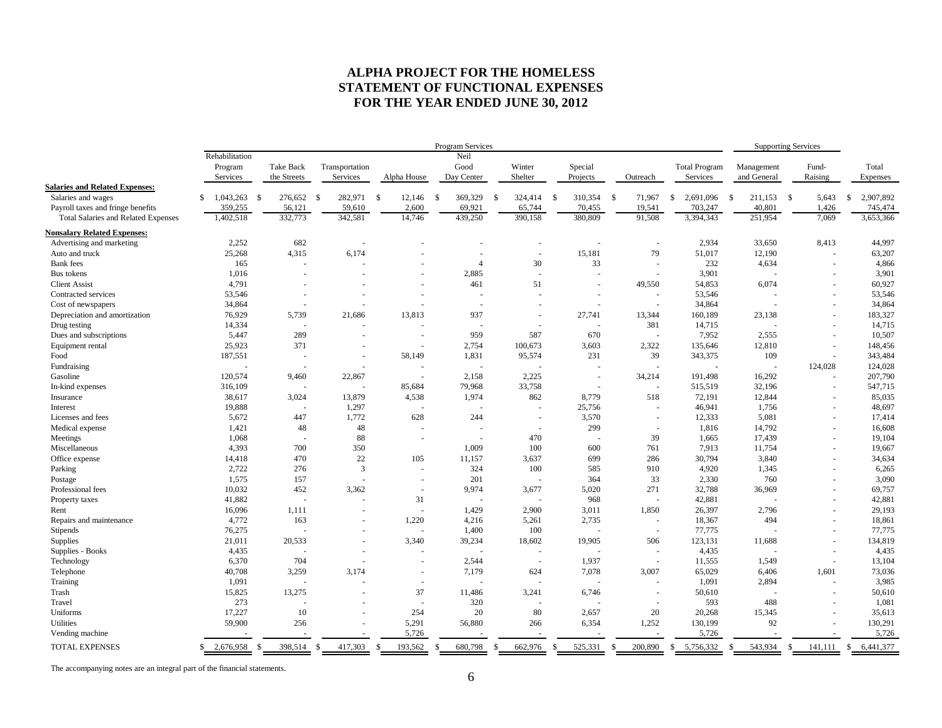## **ALPHA PROJECT FOR THE HOMELESS STATEMENT OF FUNCTIONAL EXPENSES FOR THE YEAR ENDED JUNE 30, 2012**

|                                            |                        |                          |                            |                          | Program Services         |                          |                     |                |                                  |                           | <b>Supporting Services</b> |                            |
|--------------------------------------------|------------------------|--------------------------|----------------------------|--------------------------|--------------------------|--------------------------|---------------------|----------------|----------------------------------|---------------------------|----------------------------|----------------------------|
|                                            | Rehabilitation         |                          |                            |                          | Neil                     |                          |                     |                |                                  |                           |                            |                            |
|                                            | Program<br>Services    | Take Back<br>the Streets | Transportation<br>Services | Alpha House              | Good<br>Day Center       | Winter<br>Shelter        | Special<br>Projects | Outreach       | <b>Total Program</b><br>Services | Management<br>and General | Fund-<br>Raising           | Total<br>Expenses          |
| <b>Salaries and Related Expenses:</b>      |                        |                          |                            |                          |                          |                          |                     |                |                                  |                           |                            |                            |
| Salaries and wages                         | $1,043,263$ \$<br>\$.  | 276,652                  | 282,971<br>- \$            | $\mathcal{S}$<br>12,146  | 369,329<br>$\mathbb{S}$  | $\mathbb{S}$<br>324,414  | 310,354<br>-S       | 71,967<br>- \$ | 2,691,096<br>\$                  | 211,153<br>-S             | \$<br>5,643                | 2,907,892<br>\$            |
| Payroll taxes and fringe benefits          | 359,255                | 56,121                   | 59,610                     | 2,600                    | 69,921                   | 65,744                   | 70,455              | 19,541         | 703,247                          | 40,801                    | 1,426                      | 745,474                    |
| <b>Total Salaries and Related Expenses</b> | 1,402,518              | 332,773                  | 342,581                    | 14,746                   | 439,250                  | 390,158                  | 380,809             | 91,508         | 3,394,343                        | 251,954                   | 7,069                      | 3,653,366                  |
| <b>Nonsalary Related Expenses:</b>         |                        |                          |                            |                          |                          |                          |                     |                |                                  |                           |                            |                            |
| Advertising and marketing                  | 2,252                  | 682                      |                            |                          |                          |                          |                     |                | 2,934                            | 33,650                    | 8,413                      | 44,997                     |
| Auto and truck                             | 25,268                 | 4,315                    | 6,174                      |                          |                          | ÷.                       | 15,181              | 79             | 51,017                           | 12,190                    |                            | 63,207                     |
| <b>Bank</b> fees                           | 165                    |                          |                            |                          | $\overline{A}$           | 30                       | 33                  |                | 232                              | 4,634                     |                            | 4,866                      |
| Bus tokens                                 | 1,016                  | $\sim$                   |                            |                          | 2,885                    | $\overline{\phantom{a}}$ |                     |                | 3,901                            |                           |                            | 3,901                      |
| <b>Client Assist</b>                       | 4,791                  |                          |                            |                          | 461                      | 51                       |                     | 49,550         | 54,853                           | 6,074                     |                            | 60,927                     |
| Contracted services                        | 53,546                 |                          |                            |                          | $\sim$                   |                          | $\sim$              |                | 53,546                           |                           |                            | 53,546                     |
| Cost of newspapers                         | 34,864                 |                          |                            | ä,                       |                          |                          |                     |                | 34,864                           |                           |                            | 34,864                     |
| Depreciation and amortization              | 76,929                 | 5,739                    | 21,686                     | 13,813                   | 937                      |                          | 27,741              | 13,344         | 160,189                          | 23,138                    |                            | 183,327                    |
| Drug testing                               | 14,334                 |                          |                            |                          |                          |                          |                     | 381            | 14,715                           |                           |                            | 14,715                     |
| Dues and subscriptions                     | 5,447                  | 289                      |                            |                          | 959                      | 587                      | 670                 |                | 7,952                            | 2,555                     |                            | 10,507                     |
| Equipment rental                           | 25,923                 | 371                      |                            | ÷,                       | 2,754                    | 100,673                  | 3,603               | 2,322          | 135,646                          | 12,810                    |                            | 148,456                    |
| Food                                       | 187,551                |                          |                            | 58,149                   | 1,831                    | 95,574                   | 231                 | 39             | 343,375                          | 109                       |                            | 343,484                    |
| Fundraising                                |                        |                          |                            |                          |                          |                          |                     |                |                                  |                           | 124,028                    | 124,028                    |
| Gasoline                                   | 120,574                | 9,460                    | 22,867                     | $\sim$                   | 2,158                    | 2,225                    | $\sim$              | 34,214         | 191,498                          | 16,292                    |                            | 207,790                    |
| In-kind expenses                           | 316,109                |                          |                            | 85,684                   | 79,968                   | 33,758                   | ÷,                  |                | 515,519                          | 32,196                    |                            | 547,715                    |
| Insurance                                  | 38,617                 | 3,024                    | 13,879                     | 4,538                    | 1,974                    | 862                      | 8,779               | 518            | 72,191                           | 12,844                    |                            | 85,035                     |
| Interest                                   | 19,888                 |                          | 1,297                      | $\sim$                   |                          | $\overline{\phantom{a}}$ | 25,756              |                | 46,941                           | 1,756                     |                            | 48,697                     |
| Licenses and fees                          | 5,672                  | 447                      | 1,772                      | 628                      | 244                      | $\sim$                   | 3,570               | $\sim$         | 12,333                           | 5,081                     |                            | 17,414                     |
| Medical expense                            | 1,421                  | 48                       | 48                         | ÷,                       |                          | $\overline{\phantom{a}}$ | 299                 | $\sim$         | 1,816                            | 14,792                    |                            | 16,608                     |
| Meetings                                   | 1.068                  | ÷,                       | 88                         | ÷,                       | $\overline{\phantom{a}}$ | 470                      |                     | 39             | 1,665                            | 17,439                    |                            | 19,104                     |
| Miscellaneous                              | 4,393                  | 700                      | 350                        |                          | 1.009                    | 100                      | 600                 | 761            | 7,913                            | 11,754                    |                            | 19,667                     |
| Office expense                             | 14,418                 | 470                      | 22                         | 105                      | 11,157                   | 3,637                    | 699                 | 286            | 30,794                           | 3,840                     |                            | 34,634                     |
| Parking                                    | 2,722                  | 276                      | 3                          | $\overline{\phantom{a}}$ | 324                      | 100                      | 585                 | 910            | 4,920                            | 1,345                     |                            | 6,265                      |
| Postage                                    | 1,575                  | 157                      | $\sim$                     | $\sim$                   | 201                      | ÷.                       | 364                 | 33             | 2,330                            | 760                       |                            | 3,090                      |
| Professional fees                          | 10,032                 | 452                      | 3,362                      | $\overline{\phantom{a}}$ | 9,974                    | 3,677                    | 5,020               | 271            | 32,788                           | 36,969                    |                            | 69,757                     |
|                                            |                        |                          |                            |                          |                          |                          | 968                 |                |                                  |                           |                            |                            |
| Property taxes                             | 41,882                 | ÷,                       |                            | 31                       |                          | $\overline{\phantom{a}}$ |                     |                | 42,881                           |                           |                            | 42,881                     |
| Rent                                       | 16,096                 | 1,111                    |                            | $\bar{a}$                | 1,429                    | 2,900                    | 3,011               | 1,850          | 26,397                           | 2,796                     |                            | 29,193                     |
| Repairs and maintenance                    | 4,772                  | 163                      |                            | 1,220                    | 4,216                    | 5,261                    | 2,735               | ÷.             | 18,367                           | 494                       |                            | 18,861                     |
| Stipends                                   | 76,275                 |                          |                            | $\sim$                   | 1,400                    | 100                      | $\sim$              |                | 77,775                           |                           |                            | 77,775                     |
| Supplies                                   | 21,011                 | 20,533                   |                            | 3,340                    | 39,234                   | 18,602                   | 19,905              | 506            | 123,131                          | 11,688                    |                            | 134,819                    |
| Supplies - Books                           | 4,435                  |                          |                            |                          |                          |                          |                     |                | 4,435                            |                           |                            | 4,435                      |
| Technology                                 | 6,370                  | 704                      |                            | $\sim$                   | 2,544                    | $\sim$                   | 1,937               | ÷.             | 11,555                           | 1,549                     | $\sim$                     | 13,104                     |
| Telephone                                  | 40,708                 | 3,259                    | 3,174                      |                          | 7,179                    | 624                      | 7,078               | 3,007          | 65,029                           | 6,406                     | 1,601                      | 73,036                     |
| Training                                   | 1,091                  |                          |                            | $\sim$                   |                          | $\overline{\phantom{a}}$ |                     |                | 1,091                            | 2,894                     |                            | 3,985                      |
| Trash                                      | 15,825                 | 13,275                   |                            | 37                       | 11,486                   | 3,241                    | 6,746               |                | 50,610                           |                           |                            | 50,610                     |
| Travel                                     | 273                    |                          |                            | ÷,                       | 320                      |                          |                     |                | 593                              | 488                       |                            | 1,081                      |
| Uniforms                                   | 17,227                 | 10                       |                            | 254                      | 20                       | 80                       | 2,657               | 20             | 20,268                           | 15,345                    |                            | 35,613                     |
| <b>Utilities</b>                           | 59,900                 | 256                      |                            | 5,291                    | 56,880                   | 266                      | 6,354               | 1,252          | 130,199                          | 92                        |                            | 130,291                    |
| Vending machine                            |                        |                          |                            | 5,726                    |                          |                          |                     |                | 5,726                            |                           |                            | 5,726                      |
| <b>TOTAL EXPENSES</b>                      | 2,676,958<br>-\$<br>\$ | 398,514                  | 417,303<br>-S              | 193,562<br>S.            | 680,798<br>\$            | 662,976<br><sup>\$</sup> | 525,331<br>-S       | 200,890<br>-S  | \$<br>5,756,332                  | 543,934                   | \$<br>141,111              | 6,441,377<br><sup>\$</sup> |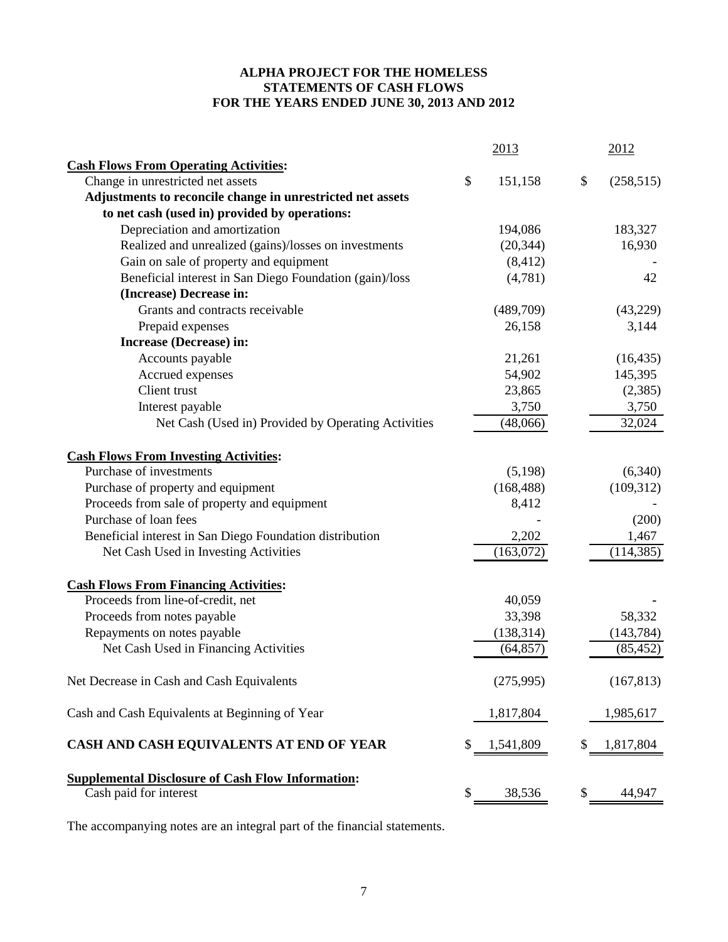# **ALPHA PROJECT FOR THE HOMELESS STATEMENTS OF CASH FLOWS FOR THE YEARS ENDED JUNE 30, 2013 AND 2012**

|                                                                                    | 2013            |               | 2012       |
|------------------------------------------------------------------------------------|-----------------|---------------|------------|
| <b>Cash Flows From Operating Activities:</b>                                       |                 |               |            |
| Change in unrestricted net assets                                                  | \$<br>151,158   | $\mathcal{S}$ | (258, 515) |
| Adjustments to reconcile change in unrestricted net assets                         |                 |               |            |
| to net cash (used in) provided by operations:                                      |                 |               |            |
| Depreciation and amortization                                                      | 194,086         |               | 183,327    |
| Realized and unrealized (gains)/losses on investments                              | (20, 344)       |               | 16,930     |
| Gain on sale of property and equipment                                             | (8, 412)        |               |            |
| Beneficial interest in San Diego Foundation (gain)/loss                            | (4,781)         |               | 42         |
| (Increase) Decrease in:                                                            |                 |               |            |
| Grants and contracts receivable                                                    | (489,709)       |               | (43,229)   |
| Prepaid expenses                                                                   | 26,158          |               | 3,144      |
| Increase (Decrease) in:                                                            |                 |               |            |
| Accounts payable                                                                   | 21,261          |               | (16, 435)  |
| Accrued expenses                                                                   | 54,902          |               | 145,395    |
| Client trust                                                                       | 23,865          |               | (2,385)    |
| Interest payable                                                                   | 3,750           |               | 3,750      |
| Net Cash (Used in) Provided by Operating Activities                                | (48,066)        |               | 32,024     |
| <b>Cash Flows From Investing Activities:</b>                                       |                 |               |            |
| Purchase of investments                                                            | (5,198)         |               | (6,340)    |
| Purchase of property and equipment                                                 | (168, 488)      |               | (109, 312) |
| Proceeds from sale of property and equipment                                       | 8,412           |               |            |
| Purchase of loan fees                                                              |                 |               | (200)      |
| Beneficial interest in San Diego Foundation distribution                           | 2,202           |               | 1,467      |
| Net Cash Used in Investing Activities                                              | (163,072)       |               | (114, 385) |
| <b>Cash Flows From Financing Activities:</b>                                       |                 |               |            |
| Proceeds from line-of-credit, net                                                  | 40,059          |               |            |
| Proceeds from notes payable                                                        | 33,398          |               | 58,332     |
| Repayments on notes payable                                                        | (138, 314)      |               | (143, 784) |
| Net Cash Used in Financing Activities                                              | (64, 857)       |               | (85, 452)  |
| Net Decrease in Cash and Cash Equivalents                                          | (275,995)       |               | (167, 813) |
| Cash and Cash Equivalents at Beginning of Year                                     | 1,817,804       |               | 1,985,617  |
| CASH AND CASH EQUIVALENTS AT END OF YEAR                                           | \$<br>1,541,809 |               | 1,817,804  |
| <b>Supplemental Disclosure of Cash Flow Information:</b><br>Cash paid for interest | \$<br>38,536    | \$            | 44,947     |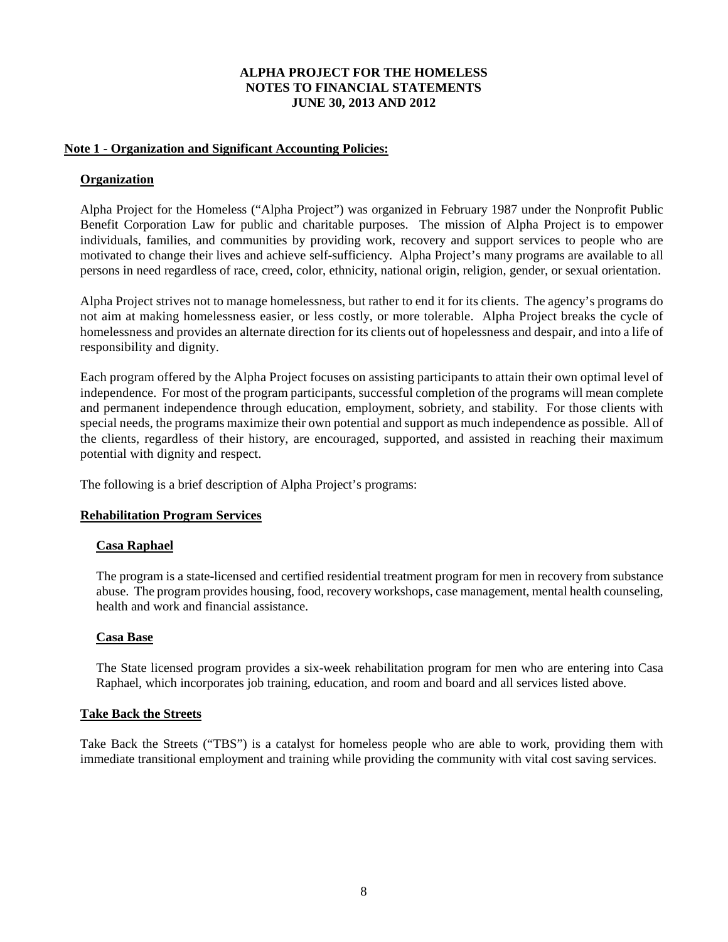#### **Note 1 - Organization and Significant Accounting Policies:**

## **Organization**

Alpha Project for the Homeless ("Alpha Project") was organized in February 1987 under the Nonprofit Public Benefit Corporation Law for public and charitable purposes. The mission of Alpha Project is to empower individuals, families, and communities by providing work, recovery and support services to people who are motivated to change their lives and achieve self-sufficiency. Alpha Project's many programs are available to all persons in need regardless of race, creed, color, ethnicity, national origin, religion, gender, or sexual orientation.

Alpha Project strives not to manage homelessness, but rather to end it for its clients. The agency's programs do not aim at making homelessness easier, or less costly, or more tolerable. Alpha Project breaks the cycle of homelessness and provides an alternate direction for its clients out of hopelessness and despair, and into a life of responsibility and dignity.

Each program offered by the Alpha Project focuses on assisting participants to attain their own optimal level of independence. For most of the program participants, successful completion of the programs will mean complete and permanent independence through education, employment, sobriety, and stability. For those clients with special needs, the programs maximize their own potential and support as much independence as possible. All of the clients, regardless of their history, are encouraged, supported, and assisted in reaching their maximum potential with dignity and respect.

The following is a brief description of Alpha Project's programs:

## **Rehabilitation Program Services**

#### **Casa Raphael**

The program is a state-licensed and certified residential treatment program for men in recovery from substance abuse. The program provides housing, food, recovery workshops, case management, mental health counseling, health and work and financial assistance.

#### **Casa Base**

The State licensed program provides a six-week rehabilitation program for men who are entering into Casa Raphael, which incorporates job training, education, and room and board and all services listed above.

#### **Take Back the Streets**

Take Back the Streets ("TBS") is a catalyst for homeless people who are able to work, providing them with immediate transitional employment and training while providing the community with vital cost saving services.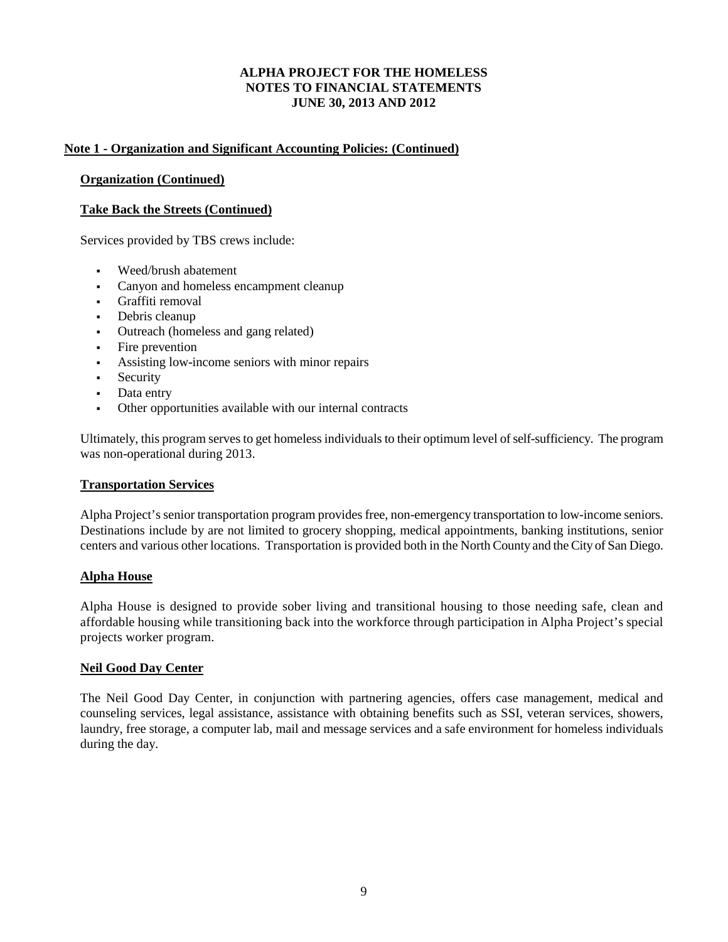### **Note 1 - Organization and Significant Accounting Policies: (Continued)**

### **Organization (Continued)**

### **Take Back the Streets (Continued)**

Services provided by TBS crews include:

- Weed/brush abatement
- Canyon and homeless encampment cleanup
- Graffiti removal
- Debris cleanup
- Outreach (homeless and gang related)
- Fire prevention
- Assisting low-income seniors with minor repairs
- Security
- Data entry
- Other opportunities available with our internal contracts

Ultimately, this program serves to get homeless individuals to their optimum level of self-sufficiency. The program was non-operational during 2013.

#### **Transportation Services**

Alpha Project's senior transportation program provides free, non-emergency transportation to low-income seniors. Destinations include by are not limited to grocery shopping, medical appointments, banking institutions, senior centers and various other locations. Transportation is provided both in the North County and the City of San Diego.

#### **Alpha House**

Alpha House is designed to provide sober living and transitional housing to those needing safe, clean and affordable housing while transitioning back into the workforce through participation in Alpha Project's special projects worker program.

#### **Neil Good Day Center**

The Neil Good Day Center, in conjunction with partnering agencies, offers case management, medical and counseling services, legal assistance, assistance with obtaining benefits such as SSI, veteran services, showers, laundry, free storage, a computer lab, mail and message services and a safe environment for homeless individuals during the day.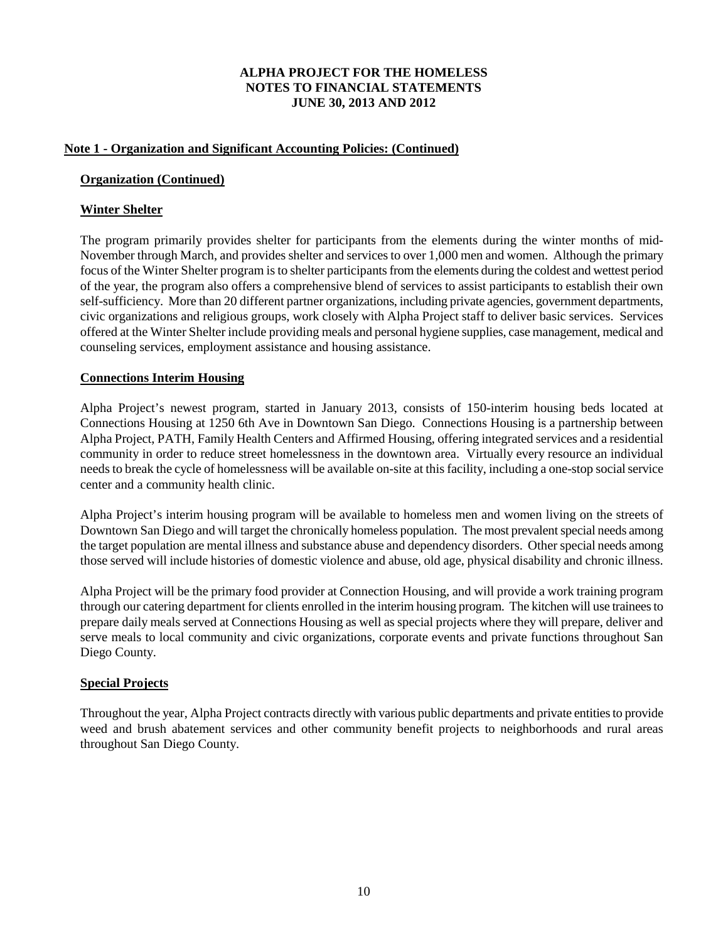### **Note 1 - Organization and Significant Accounting Policies: (Continued)**

#### **Organization (Continued)**

### **Winter Shelter**

The program primarily provides shelter for participants from the elements during the winter months of mid-November through March, and provides shelter and services to over 1,000 men and women. Although the primary focus of the Winter Shelter program is to shelter participants from the elements during the coldest and wettest period of the year, the program also offers a comprehensive blend of services to assist participants to establish their own self-sufficiency. More than 20 different partner organizations, including private agencies, government departments, civic organizations and religious groups, work closely with Alpha Project staff to deliver basic services. Services offered at the Winter Shelter include providing meals and personal hygiene supplies, case management, medical and counseling services, employment assistance and housing assistance.

#### **Connections Interim Housing**

Alpha Project's newest program, started in January 2013, consists of 150-interim housing beds located at Connections Housing at 1250 6th Ave in Downtown San Diego. Connections Housing is a partnership between Alpha Project, PATH, Family Health Centers and Affirmed Housing, offering integrated services and a residential community in order to reduce street homelessness in the downtown area. Virtually every resource an individual needs to break the cycle of homelessness will be available on-site at this facility, including a one-stop social service center and a community health clinic.

Alpha Project's interim housing program will be available to homeless men and women living on the streets of Downtown San Diego and will target the chronically homeless population. The most prevalent special needs among the target population are mental illness and substance abuse and dependency disorders. Other special needs among those served will include histories of domestic violence and abuse, old age, physical disability and chronic illness.

Alpha Project will be the primary food provider at Connection Housing, and will provide a work training program through our catering department for clients enrolled in the interim housing program. The kitchen will use trainees to prepare daily meals served at Connections Housing as well as special projects where they will prepare, deliver and serve meals to local community and civic organizations, corporate events and private functions throughout San Diego County.

## **Special Projects**

Throughout the year, Alpha Project contracts directly with various public departments and private entities to provide weed and brush abatement services and other community benefit projects to neighborhoods and rural areas throughout San Diego County.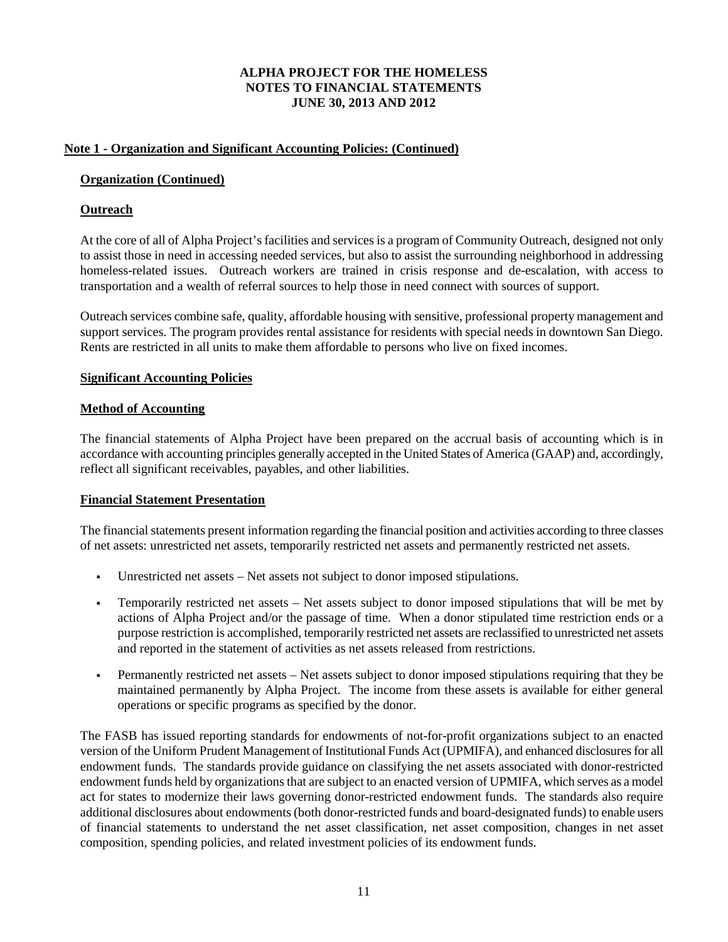### **Note 1 - Organization and Significant Accounting Policies: (Continued)**

### **Organization (Continued)**

## **Outreach**

At the core of all of Alpha Project's facilities and services is a program of Community Outreach, designed not only to assist those in need in accessing needed services, but also to assist the surrounding neighborhood in addressing homeless-related issues. Outreach workers are trained in crisis response and de-escalation, with access to transportation and a wealth of referral sources to help those in need connect with sources of support.

Outreach services combine safe, quality, affordable housing with sensitive, professional property management and support services. The program provides rental assistance for residents with special needs in downtown San Diego. Rents are restricted in all units to make them affordable to persons who live on fixed incomes.

#### **Significant Accounting Policies**

## **Method of Accounting**

The financial statements of Alpha Project have been prepared on the accrual basis of accounting which is in accordance with accounting principles generally accepted in the United States of America (GAAP) and, accordingly, reflect all significant receivables, payables, and other liabilities.

## **Financial Statement Presentation**

The financial statements present information regarding the financial position and activities according to three classes of net assets: unrestricted net assets, temporarily restricted net assets and permanently restricted net assets.

- Unrestricted net assets Net assets not subject to donor imposed stipulations.
- Temporarily restricted net assets Net assets subject to donor imposed stipulations that will be met by actions of Alpha Project and/or the passage of time. When a donor stipulated time restriction ends or a purpose restriction is accomplished, temporarily restricted net assets are reclassified to unrestricted net assets and reported in the statement of activities as net assets released from restrictions.
- Permanently restricted net assets Net assets subject to donor imposed stipulations requiring that they be maintained permanently by Alpha Project. The income from these assets is available for either general operations or specific programs as specified by the donor.

The FASB has issued reporting standards for endowments of not-for-profit organizations subject to an enacted version of the Uniform Prudent Management of Institutional Funds Act (UPMIFA), and enhanced disclosures for all endowment funds. The standards provide guidance on classifying the net assets associated with donor-restricted endowment funds held by organizations that are subject to an enacted version of UPMIFA, which serves as a model act for states to modernize their laws governing donor-restricted endowment funds. The standards also require additional disclosures about endowments (both donor-restricted funds and board-designated funds) to enable users of financial statements to understand the net asset classification, net asset composition, changes in net asset composition, spending policies, and related investment policies of its endowment funds.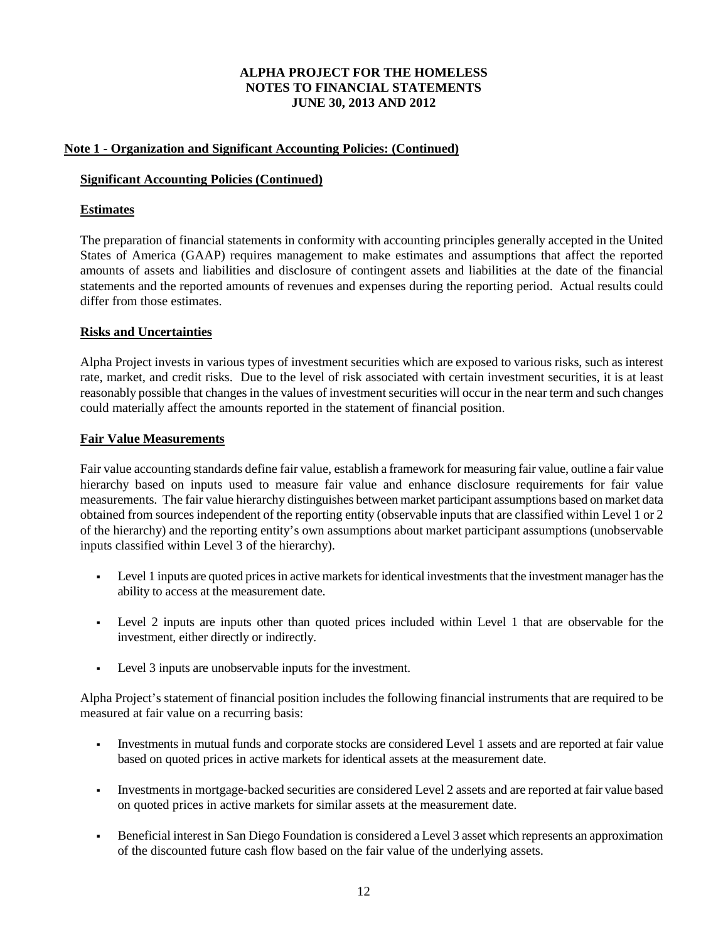### **Note 1 - Organization and Significant Accounting Policies: (Continued)**

#### **Significant Accounting Policies (Continued)**

### **Estimates**

The preparation of financial statements in conformity with accounting principles generally accepted in the United States of America (GAAP) requires management to make estimates and assumptions that affect the reported amounts of assets and liabilities and disclosure of contingent assets and liabilities at the date of the financial statements and the reported amounts of revenues and expenses during the reporting period. Actual results could differ from those estimates.

#### **Risks and Uncertainties**

Alpha Project invests in various types of investment securities which are exposed to various risks, such as interest rate, market, and credit risks. Due to the level of risk associated with certain investment securities, it is at least reasonably possible that changes in the values of investment securities will occur in the near term and such changes could materially affect the amounts reported in the statement of financial position.

#### **Fair Value Measurements**

Fair value accounting standards define fair value, establish a framework for measuring fair value, outline a fair value hierarchy based on inputs used to measure fair value and enhance disclosure requirements for fair value measurements. The fair value hierarchy distinguishes between market participant assumptions based on market data obtained from sources independent of the reporting entity (observable inputs that are classified within Level 1 or 2 of the hierarchy) and the reporting entity's own assumptions about market participant assumptions (unobservable inputs classified within Level 3 of the hierarchy).

- Level 1 inputs are quoted prices in active markets for identical investments that the investment manager has the ability to access at the measurement date.
- Level 2 inputs are inputs other than quoted prices included within Level 1 that are observable for the investment, either directly or indirectly.
- Level 3 inputs are unobservable inputs for the investment.

Alpha Project's statement of financial position includes the following financial instruments that are required to be measured at fair value on a recurring basis:

- Investments in mutual funds and corporate stocks are considered Level 1 assets and are reported at fair value based on quoted prices in active markets for identical assets at the measurement date.
- Investments in mortgage-backed securities are considered Level 2 assets and are reported at fair value based on quoted prices in active markets for similar assets at the measurement date.
- Beneficial interest in San Diego Foundation is considered a Level 3 asset which represents an approximation of the discounted future cash flow based on the fair value of the underlying assets.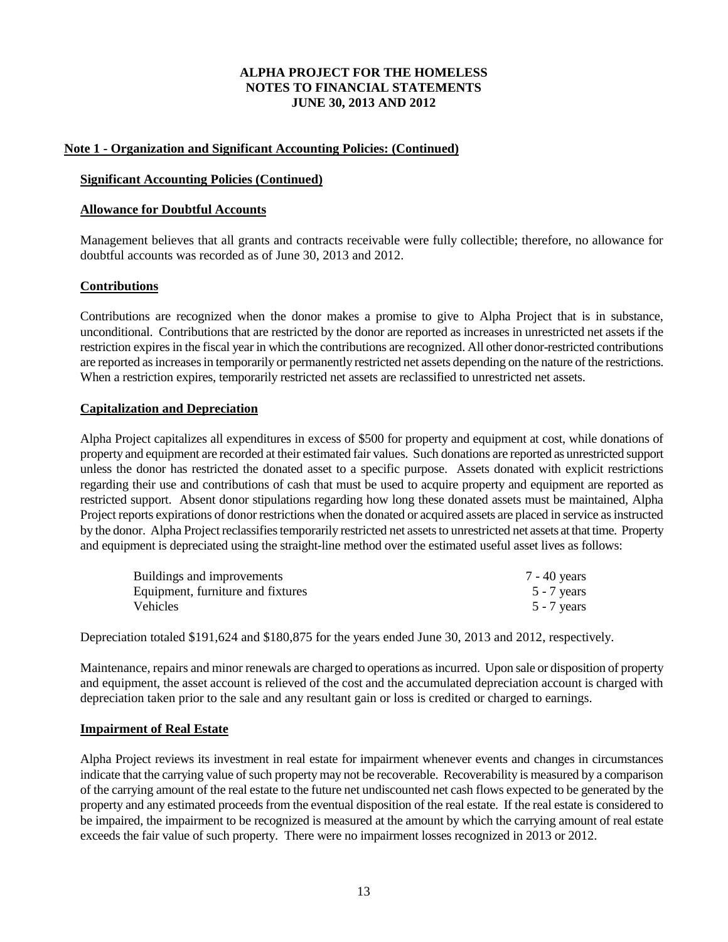## **Note 1 - Organization and Significant Accounting Policies: (Continued)**

#### **Significant Accounting Policies (Continued)**

#### **Allowance for Doubtful Accounts**

Management believes that all grants and contracts receivable were fully collectible; therefore, no allowance for doubtful accounts was recorded as of June 30, 2013 and 2012.

#### **Contributions**

Contributions are recognized when the donor makes a promise to give to Alpha Project that is in substance, unconditional. Contributions that are restricted by the donor are reported as increases in unrestricted net assets if the restriction expires in the fiscal year in which the contributions are recognized. All other donor-restricted contributions are reported as increases in temporarily or permanently restricted net assets depending on the nature of the restrictions. When a restriction expires, temporarily restricted net assets are reclassified to unrestricted net assets.

## **Capitalization and Depreciation**

Alpha Project capitalizes all expenditures in excess of \$500 for property and equipment at cost, while donations of property and equipment are recorded at their estimated fair values. Such donations are reported as unrestricted support unless the donor has restricted the donated asset to a specific purpose. Assets donated with explicit restrictions regarding their use and contributions of cash that must be used to acquire property and equipment are reported as restricted support. Absent donor stipulations regarding how long these donated assets must be maintained, Alpha Project reports expirations of donor restrictions when the donated or acquired assets are placed in service as instructed by the donor. Alpha Project reclassifies temporarily restricted net assets to unrestricted net assets at that time. Property and equipment is depreciated using the straight-line method over the estimated useful asset lives as follows:

| Buildings and improvements        | 7 - 40 years  |
|-----------------------------------|---------------|
| Equipment, furniture and fixtures | $5 - 7$ years |
| Vehicles                          | $5 - 7$ years |

Depreciation totaled \$191,624 and \$180,875 for the years ended June 30, 2013 and 2012, respectively.

Maintenance, repairs and minor renewals are charged to operations as incurred. Upon sale or disposition of property and equipment, the asset account is relieved of the cost and the accumulated depreciation account is charged with depreciation taken prior to the sale and any resultant gain or loss is credited or charged to earnings.

#### **Impairment of Real Estate**

Alpha Project reviews its investment in real estate for impairment whenever events and changes in circumstances indicate that the carrying value of such property may not be recoverable. Recoverability is measured by a comparison of the carrying amount of the real estate to the future net undiscounted net cash flows expected to be generated by the property and any estimated proceeds from the eventual disposition of the real estate. If the real estate is considered to be impaired, the impairment to be recognized is measured at the amount by which the carrying amount of real estate exceeds the fair value of such property. There were no impairment losses recognized in 2013 or 2012.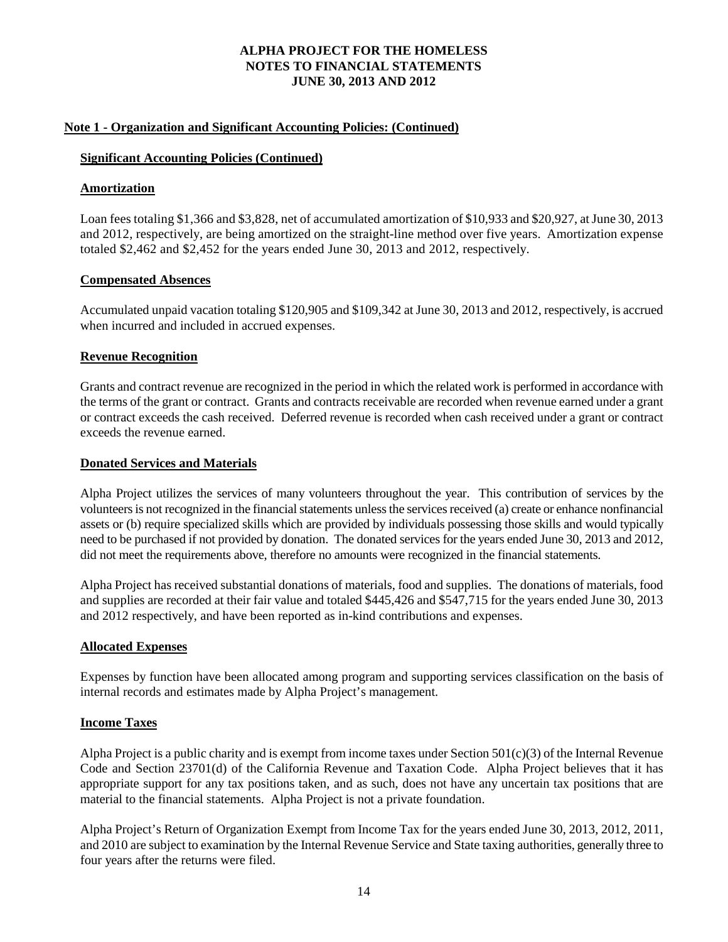## **Note 1 - Organization and Significant Accounting Policies: (Continued)**

### **Significant Accounting Policies (Continued)**

#### **Amortization**

Loan fees totaling \$1,366 and \$3,828, net of accumulated amortization of \$10,933 and \$20,927, at June 30, 2013 and 2012, respectively, are being amortized on the straight-line method over five years. Amortization expense totaled \$2,462 and \$2,452 for the years ended June 30, 2013 and 2012, respectively.

#### **Compensated Absences**

Accumulated unpaid vacation totaling \$120,905 and \$109,342 at June 30, 2013 and 2012, respectively, is accrued when incurred and included in accrued expenses.

## **Revenue Recognition**

Grants and contract revenue are recognized in the period in which the related work is performed in accordance with the terms of the grant or contract. Grants and contracts receivable are recorded when revenue earned under a grant or contract exceeds the cash received. Deferred revenue is recorded when cash received under a grant or contract exceeds the revenue earned.

#### **Donated Services and Materials**

Alpha Project utilizes the services of many volunteers throughout the year. This contribution of services by the volunteers is not recognized in the financial statements unless the services received (a) create or enhance nonfinancial assets or (b) require specialized skills which are provided by individuals possessing those skills and would typically need to be purchased if not provided by donation. The donated services for the years ended June 30, 2013 and 2012, did not meet the requirements above, therefore no amounts were recognized in the financial statements.

Alpha Project has received substantial donations of materials, food and supplies. The donations of materials, food and supplies are recorded at their fair value and totaled \$445,426 and \$547,715 for the years ended June 30, 2013 and 2012 respectively, and have been reported as in-kind contributions and expenses.

## **Allocated Expenses**

Expenses by function have been allocated among program and supporting services classification on the basis of internal records and estimates made by Alpha Project's management.

## **Income Taxes**

Alpha Project is a public charity and is exempt from income taxes under Section  $501(c)(3)$  of the Internal Revenue Code and Section 23701(d) of the California Revenue and Taxation Code. Alpha Project believes that it has appropriate support for any tax positions taken, and as such, does not have any uncertain tax positions that are material to the financial statements. Alpha Project is not a private foundation.

Alpha Project's Return of Organization Exempt from Income Tax for the years ended June 30, 2013, 2012, 2011, and 2010 are subject to examination by the Internal Revenue Service and State taxing authorities, generally three to four years after the returns were filed.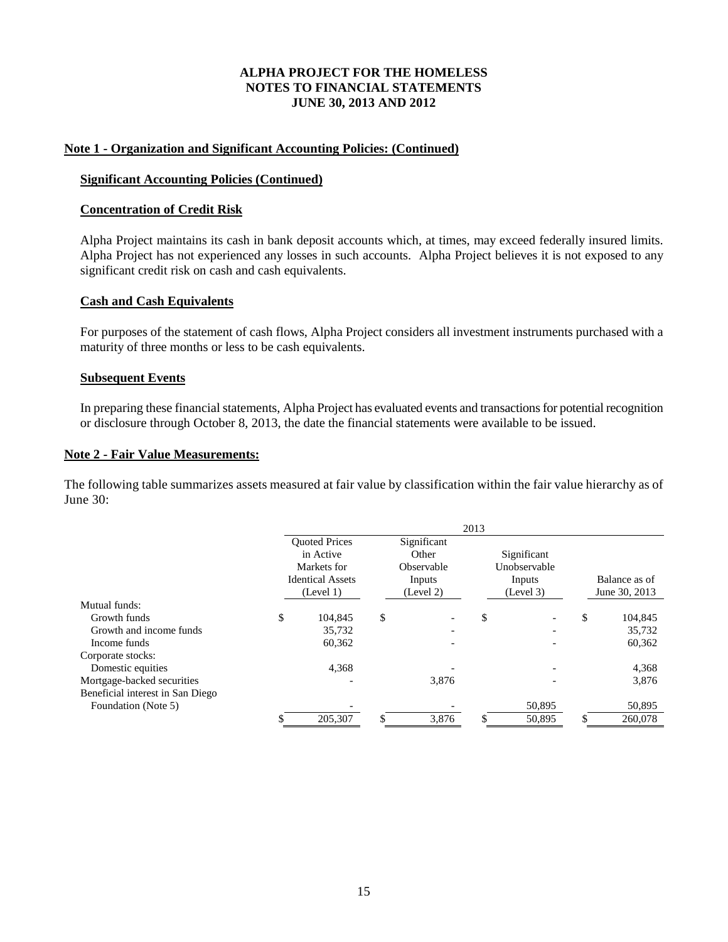### **Note 1 - Organization and Significant Accounting Policies: (Continued)**

#### **Significant Accounting Policies (Continued)**

#### **Concentration of Credit Risk**

Alpha Project maintains its cash in bank deposit accounts which, at times, may exceed federally insured limits. Alpha Project has not experienced any losses in such accounts. Alpha Project believes it is not exposed to any significant credit risk on cash and cash equivalents.

## **Cash and Cash Equivalents**

For purposes of the statement of cash flows, Alpha Project considers all investment instruments purchased with a maturity of three months or less to be cash equivalents.

#### **Subsequent Events**

In preparing these financial statements, Alpha Project has evaluated events and transactions for potential recognition or disclosure through October 8, 2013, the date the financial statements were available to be issued.

#### **Note 2 - Fair Value Measurements:**

The following table summarizes assets measured at fair value by classification within the fair value hierarchy as of June 30:

|                                  | 2013                    |    |             |    |              |    |               |  |  |
|----------------------------------|-------------------------|----|-------------|----|--------------|----|---------------|--|--|
|                                  | <b>Ouoted Prices</b>    |    | Significant |    |              |    |               |  |  |
|                                  | in Active               |    | Other       |    | Significant  |    |               |  |  |
|                                  | Markets for             |    | Observable  |    | Unobservable |    |               |  |  |
|                                  | <b>Identical Assets</b> |    | Inputs      |    | Inputs       |    | Balance as of |  |  |
|                                  | (Level 1)               |    | (Level 2)   |    | (Level 3)    |    | June 30, 2013 |  |  |
| Mutual funds:                    |                         |    |             |    |              |    |               |  |  |
| Growth funds                     | \$<br>104.845           | \$ |             | \$ |              | \$ | 104,845       |  |  |
| Growth and income funds          | 35.732                  |    |             |    |              |    | 35,732        |  |  |
| Income funds                     | 60,362                  |    |             |    |              |    | 60,362        |  |  |
| Corporate stocks:                |                         |    |             |    |              |    |               |  |  |
| Domestic equities                | 4.368                   |    |             |    |              |    | 4,368         |  |  |
| Mortgage-backed securities       |                         |    | 3,876       |    |              |    | 3,876         |  |  |
| Beneficial interest in San Diego |                         |    |             |    |              |    |               |  |  |
| Foundation (Note 5)              |                         |    |             |    | 50,895       |    | 50,895        |  |  |
|                                  | 205,307                 |    | 3,876       |    | 50,895       |    | 260,078       |  |  |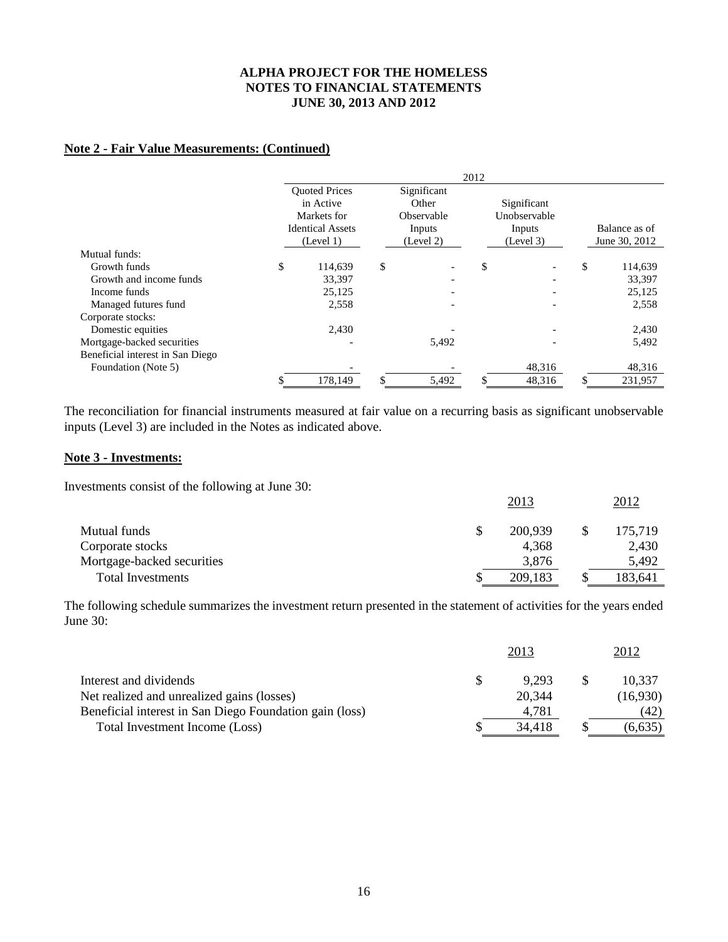#### **Note 2 - Fair Value Measurements: (Continued)**

|                                  | 2012                    |    |             |    |              |    |               |  |  |  |
|----------------------------------|-------------------------|----|-------------|----|--------------|----|---------------|--|--|--|
|                                  | <b>Ouoted Prices</b>    |    | Significant |    |              |    |               |  |  |  |
|                                  | in Active               |    | Other       |    | Significant  |    |               |  |  |  |
|                                  | Markets for             |    | Observable  |    | Unobservable |    |               |  |  |  |
|                                  | <b>Identical Assets</b> |    | Inputs      |    | Inputs       |    | Balance as of |  |  |  |
|                                  | (Level 1)               |    | (Level 2)   |    | (Level 3)    |    | June 30, 2012 |  |  |  |
| Mutual funds:                    |                         |    |             |    |              |    |               |  |  |  |
| Growth funds                     | \$<br>114,639           | \$ |             | \$ |              | \$ | 114,639       |  |  |  |
| Growth and income funds          | 33,397                  |    |             |    |              |    | 33,397        |  |  |  |
| Income funds                     | 25,125                  |    |             |    |              |    | 25,125        |  |  |  |
| Managed futures fund             | 2,558                   |    |             |    |              |    | 2,558         |  |  |  |
| Corporate stocks:                |                         |    |             |    |              |    |               |  |  |  |
| Domestic equities                | 2.430                   |    |             |    |              |    | 2,430         |  |  |  |
| Mortgage-backed securities       |                         |    | 5,492       |    |              |    | 5,492         |  |  |  |
| Beneficial interest in San Diego |                         |    |             |    |              |    |               |  |  |  |
| Foundation (Note 5)              |                         |    |             |    | 48,316       |    | 48,316        |  |  |  |
|                                  | 178,149                 |    | 5,492       |    | 48,316       |    | 231,957       |  |  |  |

The reconciliation for financial instruments measured at fair value on a recurring basis as significant unobservable inputs (Level 3) are included in the Notes as indicated above.

### **Note 3 - Investments:**

Investments consist of the following at June 30:

|                            | 201     | 2012    |
|----------------------------|---------|---------|
| Mutual funds               | 200.939 | 175,719 |
| Corporate stocks           | 4.368   | 2,430   |
| Mortgage-backed securities | 3,876   | 5.492   |
| <b>Total Investments</b>   | 209,183 | 183.641 |

2013 2012

The following schedule summarizes the investment return presented in the statement of activities for the years ended June 30:

|                                                         | 2013   | 2012     |
|---------------------------------------------------------|--------|----------|
| Interest and dividends                                  | 9.293  | 10.337   |
| Net realized and unrealized gains (losses)              | 20,344 | (16,930) |
| Beneficial interest in San Diego Foundation gain (loss) | 4,781  | (42)     |
| Total Investment Income (Loss)                          | 34.418 | (6,635)  |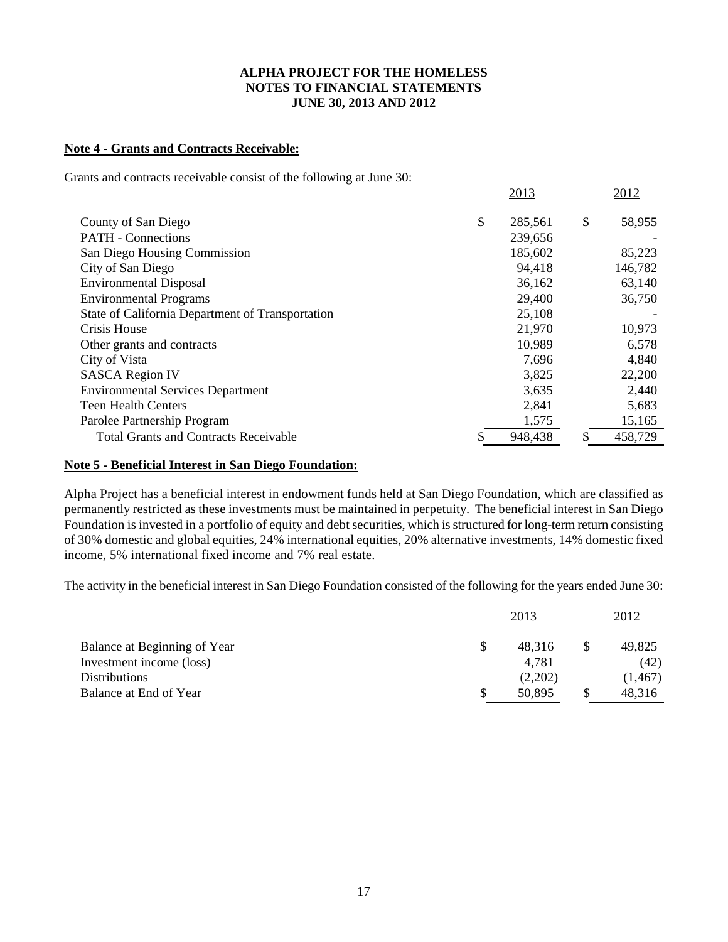### **Note 4 - Grants and Contracts Receivable:**

Grants and contracts receivable consist of the following at June 30:

|                                                  | 2013          | 2012         |
|--------------------------------------------------|---------------|--------------|
| County of San Diego                              | \$<br>285,561 | \$<br>58,955 |
| <b>PATH - Connections</b>                        | 239,656       |              |
| San Diego Housing Commission                     | 185,602       | 85,223       |
| City of San Diego                                | 94,418        | 146,782      |
| <b>Environmental Disposal</b>                    | 36,162        | 63,140       |
| <b>Environmental Programs</b>                    | 29,400        | 36,750       |
| State of California Department of Transportation | 25,108        |              |
| Crisis House                                     | 21,970        | 10,973       |
| Other grants and contracts                       | 10,989        | 6,578        |
| City of Vista                                    | 7,696         | 4,840        |
| <b>SASCA Region IV</b>                           | 3,825         | 22,200       |
| <b>Environmental Services Department</b>         | 3,635         | 2,440        |
| <b>Teen Health Centers</b>                       | 2,841         | 5,683        |
| Parolee Partnership Program                      | 1,575         | 15,165       |
| <b>Total Grants and Contracts Receivable</b>     | 948,438       | 458,729      |

## **Note 5 - Beneficial Interest in San Diego Foundation:**

Alpha Project has a beneficial interest in endowment funds held at San Diego Foundation, which are classified as permanently restricted as these investments must be maintained in perpetuity. The beneficial interest in San Diego Foundation is invested in a portfolio of equity and debt securities, which is structured for long-term return consisting of 30% domestic and global equities, 24% international equities, 20% alternative investments, 14% domestic fixed income, 5% international fixed income and 7% real estate.

The activity in the beneficial interest in San Diego Foundation consisted of the following for the years ended June 30:

|                              |    | 2013    | <u> 2012 </u> |
|------------------------------|----|---------|---------------|
| Balance at Beginning of Year | \$ | 48.316  | 49,825        |
| Investment income (loss)     |    | 4,781   | (42)          |
| <b>Distributions</b>         |    | (2,202) | (1, 467)      |
| Balance at End of Year       | S  | 50,895  | 48,316        |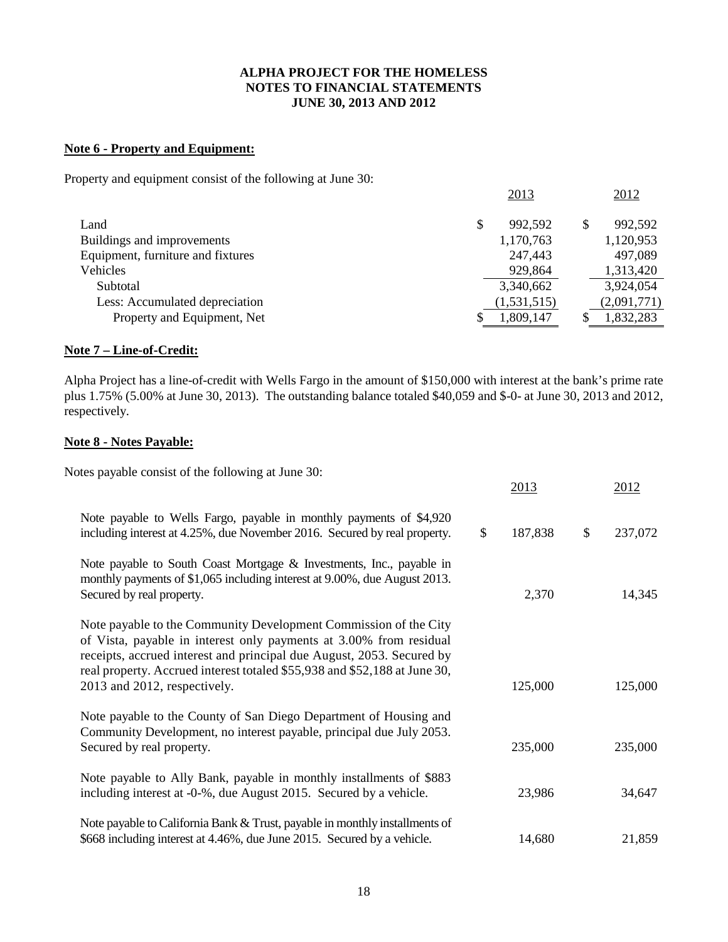## **Note 6 - Property and Equipment:**

Property and equipment consist of the following at June 30:

|                                   | 2013          | 2012          |
|-----------------------------------|---------------|---------------|
| Land                              | 992,592       | \$<br>992,592 |
| Buildings and improvements        | 1,170,763     | 1,120,953     |
| Equipment, furniture and fixtures | 247,443       | 497,089       |
| Vehicles                          | 929,864       | 1,313,420     |
| Subtotal                          | 3,340,662     | 3,924,054     |
| Less: Accumulated depreciation    | (1, 531, 515) | (2,091,771)   |
| Property and Equipment, Net       | 1,809,147     | 1,832,283     |

## **Note 7 – Line-of-Credit:**

Alpha Project has a line-of-credit with Wells Fargo in the amount of \$150,000 with interest at the bank's prime rate plus 1.75% (5.00% at June 30, 2013). The outstanding balance totaled \$40,059 and \$-0- at June 30, 2013 and 2012, respectively.

2013 2012

#### **Note 8 - Notes Payable:**

Notes payable consist of the following at June 30:

| Note payable to Wells Fargo, payable in monthly payments of \$4,920<br>including interest at 4.25%, due November 2016. Secured by real property.                                                                                                                                                                             | \$<br>187,838 | \$<br>237,072 |
|------------------------------------------------------------------------------------------------------------------------------------------------------------------------------------------------------------------------------------------------------------------------------------------------------------------------------|---------------|---------------|
| Note payable to South Coast Mortgage $\&$ Investments, Inc., payable in<br>monthly payments of \$1,065 including interest at 9.00%, due August 2013.<br>Secured by real property.                                                                                                                                            | 2,370         | 14,345        |
| Note payable to the Community Development Commission of the City<br>of Vista, payable in interest only payments at 3.00% from residual<br>receipts, accrued interest and principal due August, 2053. Secured by<br>real property. Accrued interest totaled \$55,938 and \$52,188 at June 30,<br>2013 and 2012, respectively. | 125,000       | 125,000       |
| Note payable to the County of San Diego Department of Housing and<br>Community Development, no interest payable, principal due July 2053.<br>Secured by real property.                                                                                                                                                       | 235,000       | 235,000       |
| Note payable to Ally Bank, payable in monthly installments of \$883<br>including interest at -0-%, due August 2015. Secured by a vehicle.                                                                                                                                                                                    | 23,986        | 34,647        |
| Note payable to California Bank & Trust, payable in monthly installments of<br>\$668 including interest at 4.46%, due June 2015. Secured by a vehicle.                                                                                                                                                                       | 14,680        | 21,859        |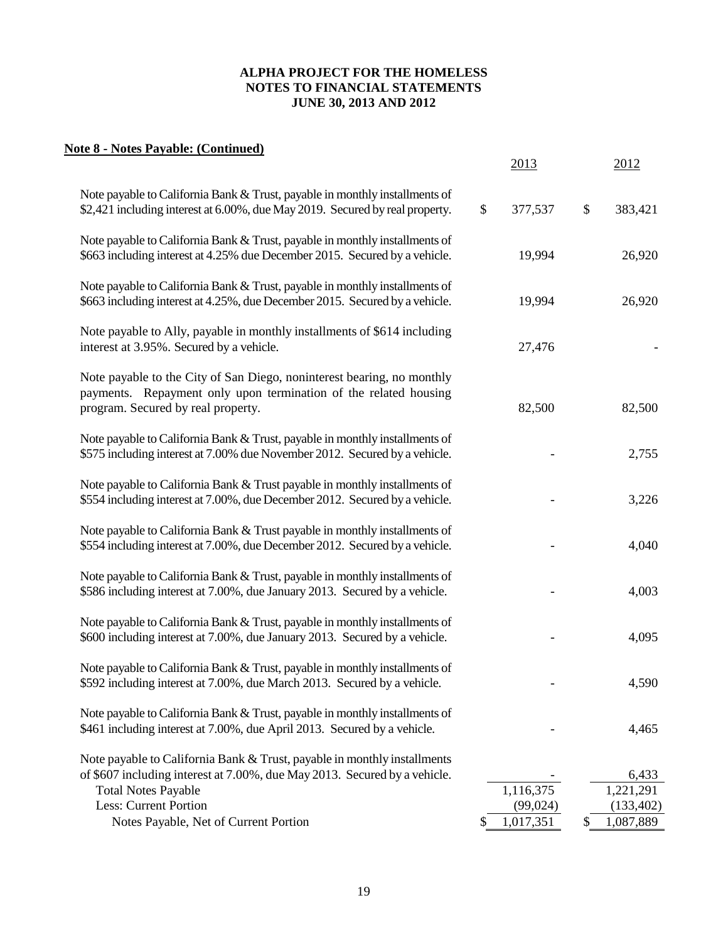# **Note 8 - Notes Payable: (Continued)**

|                                                                                                                                                                                                              | 2013                   | 2012                             |
|--------------------------------------------------------------------------------------------------------------------------------------------------------------------------------------------------------------|------------------------|----------------------------------|
| Note payable to California Bank & Trust, payable in monthly installments of<br>\$2,421 including interest at 6.00%, due May 2019. Secured by real property.                                                  | \$<br>377,537          | \$<br>383,421                    |
| Note payable to California Bank & Trust, payable in monthly installments of<br>\$663 including interest at 4.25% due December 2015. Secured by a vehicle.                                                    | 19,994                 | 26,920                           |
| Note payable to California Bank & Trust, payable in monthly installments of<br>\$663 including interest at 4.25%, due December 2015. Secured by a vehicle.                                                   | 19,994                 | 26,920                           |
| Note payable to Ally, payable in monthly installments of \$614 including<br>interest at 3.95%. Secured by a vehicle.                                                                                         | 27,476                 |                                  |
| Note payable to the City of San Diego, noninterest bearing, no monthly<br>payments. Repayment only upon termination of the related housing<br>program. Secured by real property.                             | 82,500                 | 82,500                           |
| Note payable to California Bank & Trust, payable in monthly installments of<br>\$575 including interest at 7.00% due November 2012. Secured by a vehicle.                                                    |                        | 2,755                            |
| Note payable to California Bank & Trust payable in monthly installments of<br>\$554 including interest at 7.00%, due December 2012. Secured by a vehicle.                                                    |                        | 3,226                            |
| Note payable to California Bank & Trust payable in monthly installments of<br>\$554 including interest at 7.00%, due December 2012. Secured by a vehicle.                                                    |                        | 4,040                            |
| Note payable to California Bank & Trust, payable in monthly installments of<br>\$586 including interest at 7.00%, due January 2013. Secured by a vehicle.                                                    |                        | 4,003                            |
| Note payable to California Bank & Trust, payable in monthly installments of<br>\$600 including interest at 7.00%, due January 2013. Secured by a vehicle.                                                    |                        | 4,095                            |
| Note payable to California Bank & Trust, payable in monthly installments of<br>\$592 including interest at 7.00%, due March 2013. Secured by a vehicle.                                                      |                        | 4,590                            |
| Note payable to California Bank & Trust, payable in monthly installments of<br>\$461 including interest at 7.00%, due April 2013. Secured by a vehicle.                                                      |                        | 4,465                            |
| Note payable to California Bank & Trust, payable in monthly installments<br>of \$607 including interest at 7.00%, due May 2013. Secured by a vehicle.<br><b>Total Notes Payable</b><br>Less: Current Portion | 1,116,375<br>(99, 024) | 6,433<br>1,221,291<br>(133, 402) |
| Notes Payable, Net of Current Portion                                                                                                                                                                        | \$<br>1,017,351        | \$<br>1,087,889                  |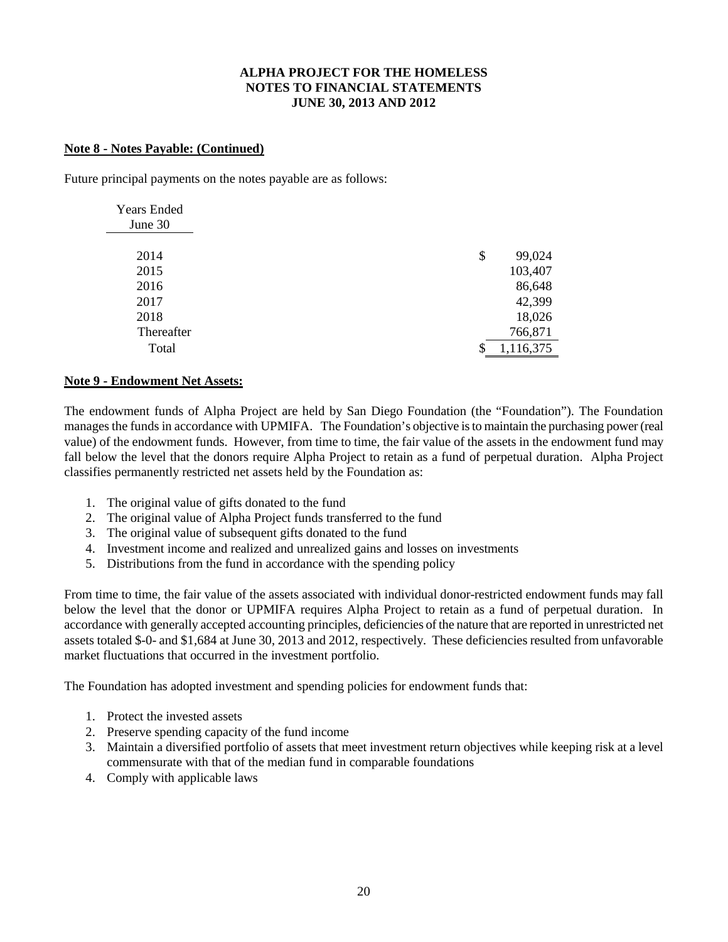#### **Note 8 - Notes Payable: (Continued)**

Future principal payments on the notes payable are as follows:

| <b>Years Ended</b> |                 |  |
|--------------------|-----------------|--|
| June 30            |                 |  |
|                    |                 |  |
| 2014               | \$<br>99,024    |  |
| 2015               | 103,407         |  |
| 2016               | 86,648          |  |
| 2017               | 42,399          |  |
| 2018               | 18,026          |  |
| Thereafter         | 766,871         |  |
| Total              | 1,116,375<br>\$ |  |

#### **Note 9 - Endowment Net Assets:**

The endowment funds of Alpha Project are held by San Diego Foundation (the "Foundation"). The Foundation manages the funds in accordance with UPMIFA. The Foundation's objective is to maintain the purchasing power (real value) of the endowment funds. However, from time to time, the fair value of the assets in the endowment fund may fall below the level that the donors require Alpha Project to retain as a fund of perpetual duration. Alpha Project classifies permanently restricted net assets held by the Foundation as:

- 1. The original value of gifts donated to the fund
- 2. The original value of Alpha Project funds transferred to the fund
- 3. The original value of subsequent gifts donated to the fund
- 4. Investment income and realized and unrealized gains and losses on investments
- 5. Distributions from the fund in accordance with the spending policy

From time to time, the fair value of the assets associated with individual donor-restricted endowment funds may fall below the level that the donor or UPMIFA requires Alpha Project to retain as a fund of perpetual duration. In accordance with generally accepted accounting principles, deficiencies of the nature that are reported in unrestricted net assets totaled \$-0- and \$1,684 at June 30, 2013 and 2012, respectively. These deficiencies resulted from unfavorable market fluctuations that occurred in the investment portfolio.

The Foundation has adopted investment and spending policies for endowment funds that:

- 1. Protect the invested assets
- 2. Preserve spending capacity of the fund income
- 3. Maintain a diversified portfolio of assets that meet investment return objectives while keeping risk at a level commensurate with that of the median fund in comparable foundations
- 4. Comply with applicable laws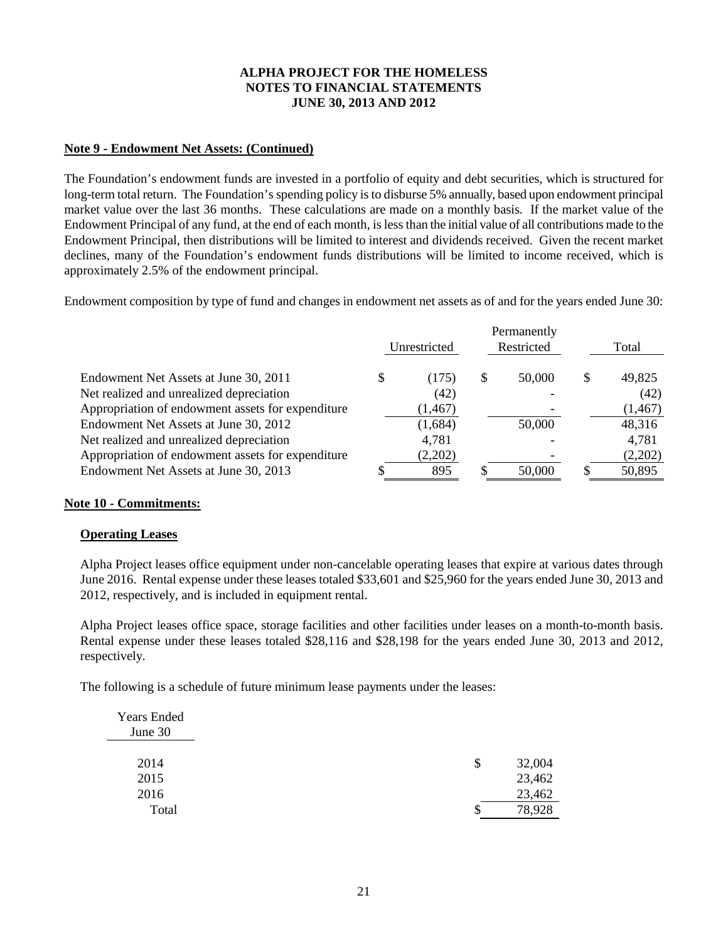#### **Note 9 - Endowment Net Assets: (Continued)**

The Foundation's endowment funds are invested in a portfolio of equity and debt securities, which is structured for long-term total return. The Foundation's spending policy is to disburse 5% annually, based upon endowment principal market value over the last 36 months. These calculations are made on a monthly basis. If the market value of the Endowment Principal of any fund, at the end of each month, is less than the initial value of all contributions made to the Endowment Principal, then distributions will be limited to interest and dividends received. Given the recent market declines, many of the Foundation's endowment funds distributions will be limited to income received, which is approximately 2.5% of the endowment principal.

Endowment composition by type of fund and changes in endowment net assets as of and for the years ended June 30:

|                                                   | Permanently  |          |            |        |   |          |
|---------------------------------------------------|--------------|----------|------------|--------|---|----------|
|                                                   | Unrestricted |          | Restricted |        |   | Total    |
| Endowment Net Assets at June 30, 2011             | S            | (175)    | \$         | 50,000 | S | 49,825   |
| Net realized and unrealized depreciation          |              | (42)     |            |        |   | (42)     |
| Appropriation of endowment assets for expenditure |              | (1, 467) |            |        |   | (1, 467) |
| Endowment Net Assets at June 30, 2012             |              | (1,684)  |            | 50,000 |   | 48,316   |
| Net realized and unrealized depreciation          |              | 4,781    |            |        |   | 4,781    |
| Appropriation of endowment assets for expenditure |              | (2,202)  |            |        |   | (2,202)  |
| Endowment Net Assets at June 30, 2013             |              | 895      |            | 50,000 |   | 50,895   |

#### **Note 10 - Commitments:**

#### **Operating Leases**

Alpha Project leases office equipment under non-cancelable operating leases that expire at various dates through June 2016. Rental expense under these leases totaled \$33,601 and \$25,960 for the years ended June 30, 2013 and 2012, respectively, and is included in equipment rental.

Alpha Project leases office space, storage facilities and other facilities under leases on a month-to-month basis. Rental expense under these leases totaled \$28,116 and \$28,198 for the years ended June 30, 2013 and 2012, respectively.

The following is a schedule of future minimum lease payments under the leases:

| \$<br>32,004 |
|--------------|
| 23,462       |
| 23,462       |
| 78,928       |
|              |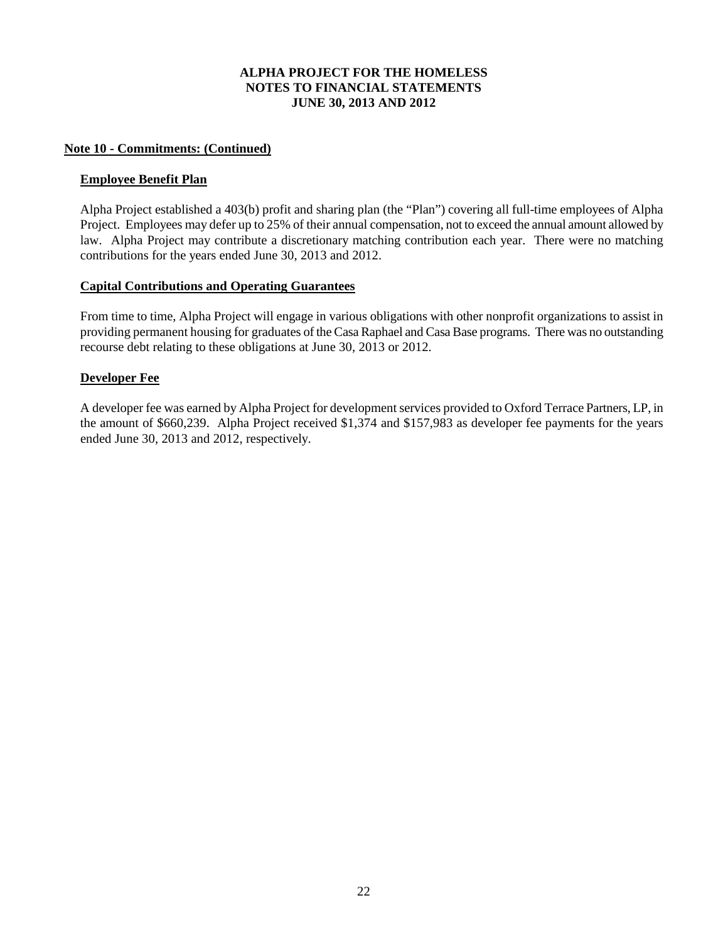#### **Note 10 - Commitments: (Continued)**

### **Employee Benefit Plan**

Alpha Project established a 403(b) profit and sharing plan (the "Plan") covering all full-time employees of Alpha Project. Employees may defer up to 25% of their annual compensation, not to exceed the annual amount allowed by law. Alpha Project may contribute a discretionary matching contribution each year. There were no matching contributions for the years ended June 30, 2013 and 2012.

#### **Capital Contributions and Operating Guarantees**

From time to time, Alpha Project will engage in various obligations with other nonprofit organizations to assist in providing permanent housing for graduates of the Casa Raphael and Casa Base programs. There was no outstanding recourse debt relating to these obligations at June 30, 2013 or 2012.

## **Developer Fee**

A developer fee was earned by Alpha Project for development services provided to Oxford Terrace Partners, LP, in the amount of \$660,239. Alpha Project received \$1,374 and \$157,983 as developer fee payments for the years ended June 30, 2013 and 2012, respectively.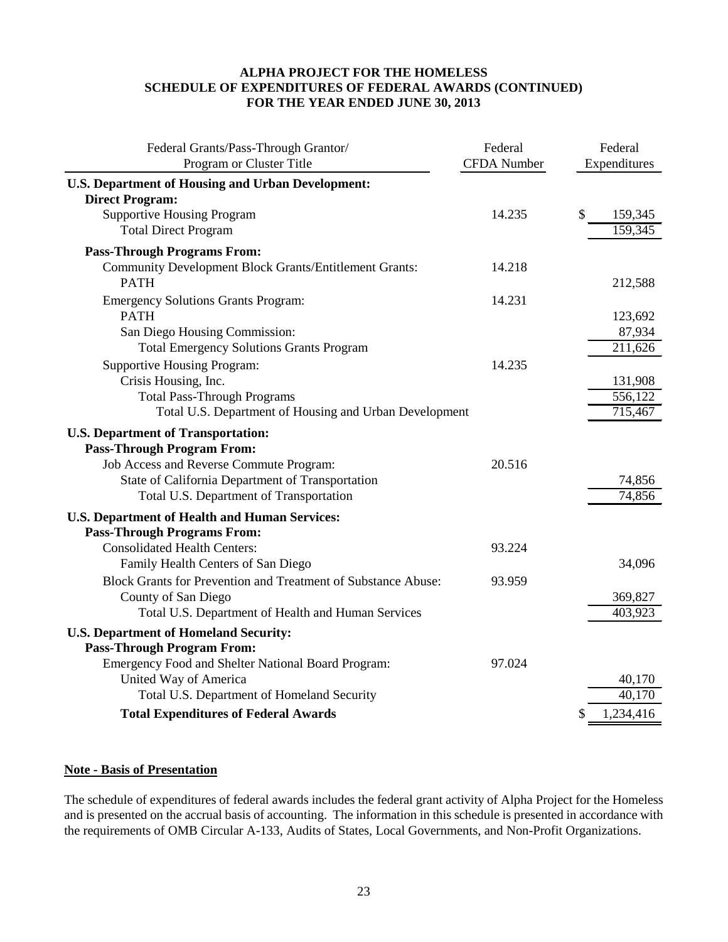## **ALPHA PROJECT FOR THE HOMELESS SCHEDULE OF EXPENDITURES OF FEDERAL AWARDS (CONTINUED) FOR THE YEAR ENDED JUNE 30, 2013**

| Federal Grants/Pass-Through Grantor/<br>Program or Cluster Title                                                                                                                                                         | Federal<br><b>CFDA</b> Number | Federal<br>Expenditures  |
|--------------------------------------------------------------------------------------------------------------------------------------------------------------------------------------------------------------------------|-------------------------------|--------------------------|
| <b>U.S. Department of Housing and Urban Development:</b><br><b>Direct Program:</b>                                                                                                                                       |                               |                          |
| <b>Supportive Housing Program</b><br><b>Total Direct Program</b>                                                                                                                                                         | 14.235                        | \$<br>159,345<br>159,345 |
| <b>Pass-Through Programs From:</b>                                                                                                                                                                                       |                               |                          |
| <b>Community Development Block Grants/Entitlement Grants:</b><br><b>PATH</b>                                                                                                                                             | 14.218                        | 212,588                  |
| <b>Emergency Solutions Grants Program:</b><br><b>PATH</b>                                                                                                                                                                | 14.231                        | 123,692                  |
| San Diego Housing Commission:                                                                                                                                                                                            |                               | 87,934                   |
| <b>Total Emergency Solutions Grants Program</b>                                                                                                                                                                          |                               | 211,626                  |
| <b>Supportive Housing Program:</b>                                                                                                                                                                                       | 14.235                        |                          |
| Crisis Housing, Inc.                                                                                                                                                                                                     |                               | 131,908                  |
| <b>Total Pass-Through Programs</b><br>Total U.S. Department of Housing and Urban Development                                                                                                                             |                               | 556,122<br>715,467       |
| <b>U.S. Department of Transportation:</b><br><b>Pass-Through Program From:</b><br>Job Access and Reverse Commute Program:<br>State of California Department of Transportation<br>Total U.S. Department of Transportation | 20.516                        | 74,856<br>74,856         |
| <b>U.S. Department of Health and Human Services:</b>                                                                                                                                                                     |                               |                          |
| <b>Pass-Through Programs From:</b><br><b>Consolidated Health Centers:</b>                                                                                                                                                | 93.224                        |                          |
| Family Health Centers of San Diego                                                                                                                                                                                       |                               | 34,096                   |
| Block Grants for Prevention and Treatment of Substance Abuse:<br>County of San Diego                                                                                                                                     | 93.959                        | 369,827                  |
| Total U.S. Department of Health and Human Services                                                                                                                                                                       |                               | 403,923                  |
| <b>U.S. Department of Homeland Security:</b><br><b>Pass-Through Program From:</b>                                                                                                                                        |                               |                          |
| Emergency Food and Shelter National Board Program:                                                                                                                                                                       | 97.024                        |                          |
| United Way of America                                                                                                                                                                                                    |                               | 40,170                   |
| Total U.S. Department of Homeland Security                                                                                                                                                                               |                               | 40,170                   |
| <b>Total Expenditures of Federal Awards</b>                                                                                                                                                                              |                               | \$<br>1,234,416          |

## **Note - Basis of Presentation**

The schedule of expenditures of federal awards includes the federal grant activity of Alpha Project for the Homeless and is presented on the accrual basis of accounting. The information in this schedule is presented in accordance with the requirements of OMB Circular A-133, Audits of States, Local Governments, and Non-Profit Organizations.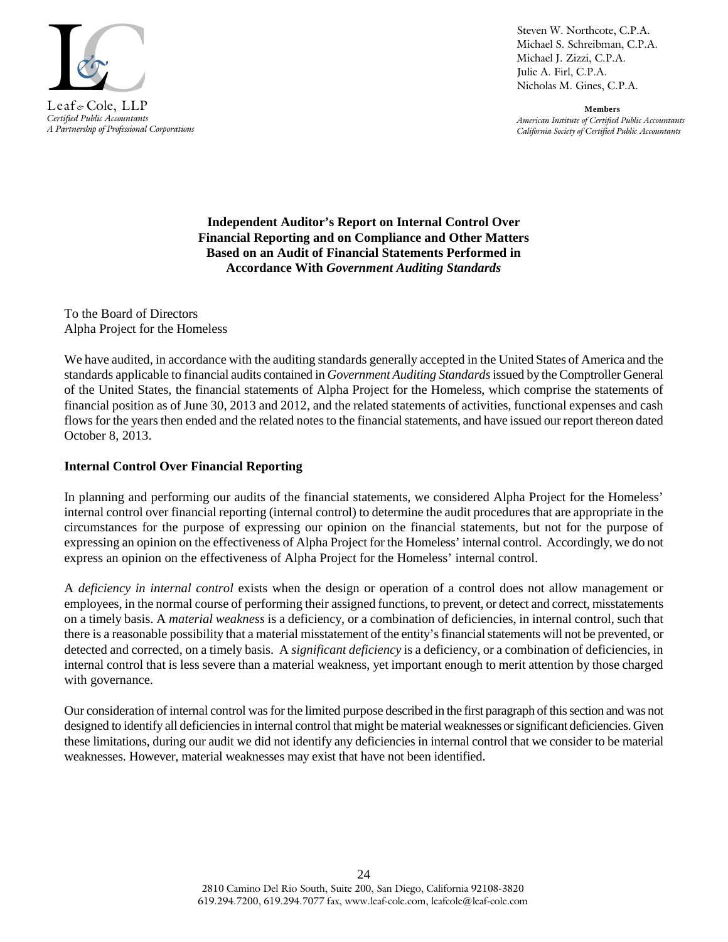

*Certified Public Accountants A Partnership of Professional Corporations* Steven W. Northcote, C.P.A. Michael S. Schreibman, C.P.A. Michael J. Zizzi, C.P.A. Julie A. Firl, C.P.A. Nicholas M. Gines, C.P.A.

**Members** *American Institute of Certified Public Accountants California Society of Certified Public Accountants*

**Independent Auditor's Report on Internal Control Over Financial Reporting and on Compliance and Other Matters Based on an Audit of Financial Statements Performed in Accordance With** *Government Auditing Standards*

To the Board of Directors Alpha Project for the Homeless

We have audited, in accordance with the auditing standards generally accepted in the United States of America and the standards applicable to financial audits contained in *Government Auditing Standards*issued by the Comptroller General of the United States, the financial statements of Alpha Project for the Homeless, which comprise the statements of financial position as of June 30, 2013 and 2012, and the related statements of activities, functional expenses and cash flows for the years then ended and the related notes to the financial statements, and have issued our report thereon dated October 8, 2013.

## **Internal Control Over Financial Reporting**

In planning and performing our audits of the financial statements, we considered Alpha Project for the Homeless' internal control over financial reporting (internal control) to determine the audit procedures that are appropriate in the circumstances for the purpose of expressing our opinion on the financial statements, but not for the purpose of expressing an opinion on the effectiveness of Alpha Project for the Homeless' internal control. Accordingly, we do not express an opinion on the effectiveness of Alpha Project for the Homeless' internal control.

A *deficiency in internal control* exists when the design or operation of a control does not allow management or employees, in the normal course of performing their assigned functions, to prevent, or detect and correct, misstatements on a timely basis. A *material weakness* is a deficiency, or a combination of deficiencies, in internal control, such that there is a reasonable possibility that a material misstatement of the entity's financial statements will not be prevented, or detected and corrected, on a timely basis. A *significant deficiency* is a deficiency, or a combination of deficiencies, in internal control that is less severe than a material weakness, yet important enough to merit attention by those charged with governance.

Our consideration of internal control was for the limited purpose described in the first paragraph of this section and was not designed to identify all deficiencies in internal control that might be material weaknesses or significant deficiencies. Given these limitations, during our audit we did not identify any deficiencies in internal control that we consider to be material weaknesses. However, material weaknesses may exist that have not been identified.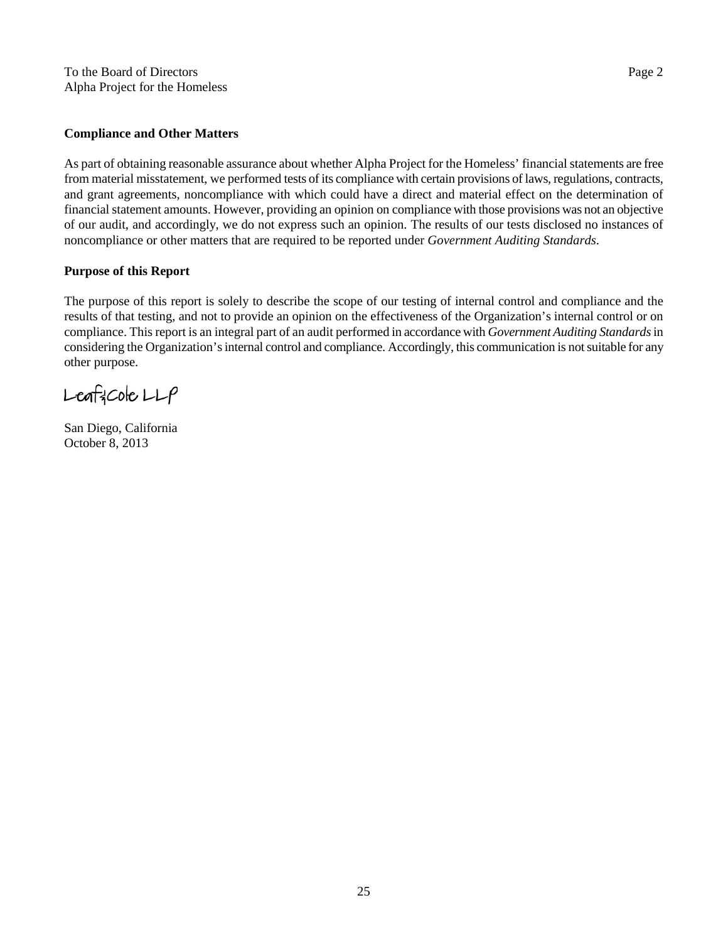## To the Board of Directors Page 2 Alpha Project for the Homeless

## **Compliance and Other Matters**

As part of obtaining reasonable assurance about whether Alpha Project for the Homeless' financial statements are free from material misstatement, we performed tests of its compliance with certain provisions of laws, regulations, contracts, and grant agreements, noncompliance with which could have a direct and material effect on the determination of financial statement amounts. However, providing an opinion on compliance with those provisions was not an objective of our audit, and accordingly, we do not express such an opinion. The results of our tests disclosed no instances of noncompliance or other matters that are required to be reported under *Government Auditing Standards*.

## **Purpose of this Report**

The purpose of this report is solely to describe the scope of our testing of internal control and compliance and the results of that testing, and not to provide an opinion on the effectiveness of the Organization's internal control or on compliance. This report is an integral part of an audit performed in accordance with *Government Auditing Standards*in considering the Organization's internal control and compliance. Accordingly, this communication is not suitable for any other purpose.

Leaffcole LLP

San Diego, California October 8, 2013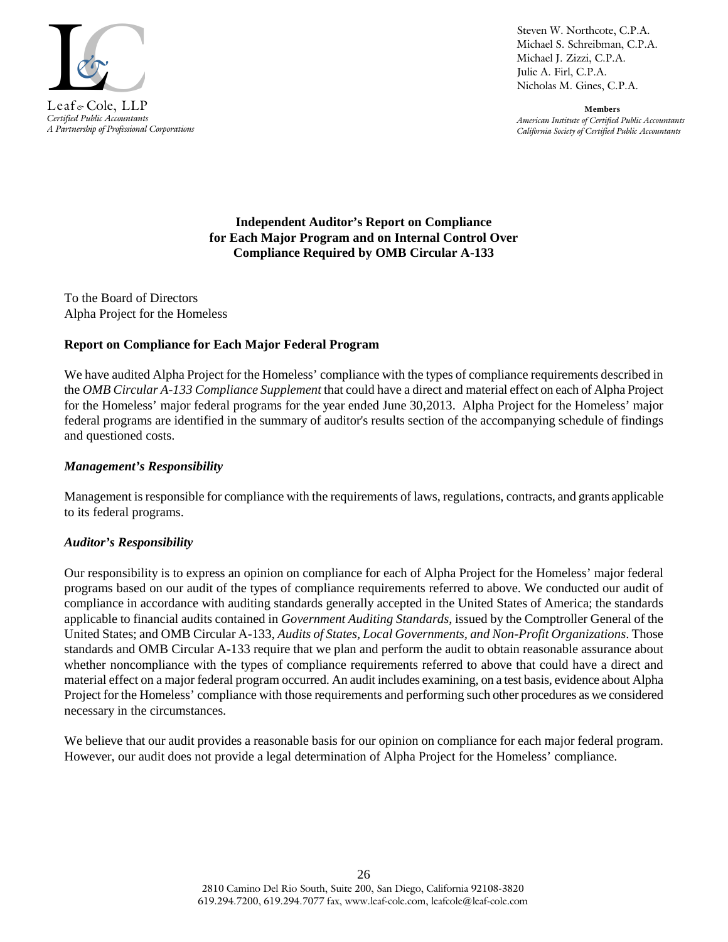

*Certified Public Accountants A Partnership of Professional Corporations* Steven W. Northcote, C.P.A. Michael S. Schreibman, C.P.A. Michael J. Zizzi, C.P.A. Julie A. Firl, C.P.A. Nicholas M. Gines, C.P.A.

**Members** *American Institute of Certified Public Accountants California Society of Certified Public Accountants*

## **Independent Auditor's Report on Compliance for Each Major Program and on Internal Control Over Compliance Required by OMB Circular A-133**

To the Board of Directors Alpha Project for the Homeless

# **Report on Compliance for Each Major Federal Program**

We have audited Alpha Project for the Homeless' compliance with the types of compliance requirements described in the *OMB Circular A-133 Compliance Supplement* that could have a direct and material effect on each of Alpha Project for the Homeless' major federal programs for the year ended June 30,2013. Alpha Project for the Homeless' major federal programs are identified in the summary of auditor's results section of the accompanying schedule of findings and questioned costs.

# *Management's Responsibility*

Management is responsible for compliance with the requirements of laws, regulations, contracts, and grants applicable to its federal programs.

# *Auditor's Responsibility*

Our responsibility is to express an opinion on compliance for each of Alpha Project for the Homeless' major federal programs based on our audit of the types of compliance requirements referred to above. We conducted our audit of compliance in accordance with auditing standards generally accepted in the United States of America; the standards applicable to financial audits contained in *Government Auditing Standards*, issued by the Comptroller General of the United States; and OMB Circular A-133, *Audits of States, Local Governments, and Non-Profit Organizations*. Those standards and OMB Circular A-133 require that we plan and perform the audit to obtain reasonable assurance about whether noncompliance with the types of compliance requirements referred to above that could have a direct and material effect on a major federal program occurred. An audit includes examining, on a test basis, evidence about Alpha Project for the Homeless' compliance with those requirements and performing such other procedures as we considered necessary in the circumstances.

We believe that our audit provides a reasonable basis for our opinion on compliance for each major federal program. However, our audit does not provide a legal determination of Alpha Project for the Homeless' compliance.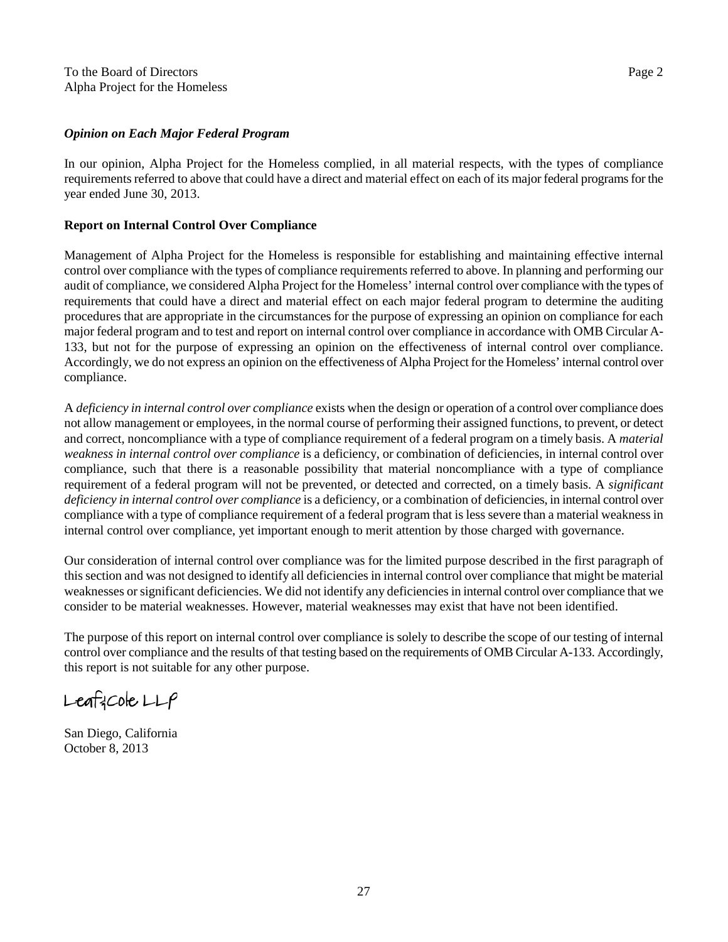### *Opinion on Each Major Federal Program*

In our opinion, Alpha Project for the Homeless complied, in all material respects, with the types of compliance requirements referred to above that could have a direct and material effect on each of its major federal programsfor the year ended June 30, 2013.

### **Report on Internal Control Over Compliance**

Management of Alpha Project for the Homeless is responsible for establishing and maintaining effective internal control over compliance with the types of compliance requirements referred to above. In planning and performing our audit of compliance, we considered Alpha Project for the Homeless' internal control over compliance with the types of requirements that could have a direct and material effect on each major federal program to determine the auditing procedures that are appropriate in the circumstances for the purpose of expressing an opinion on compliance for each major federal program and to test and report on internal control over compliance in accordance with OMB Circular A-133, but not for the purpose of expressing an opinion on the effectiveness of internal control over compliance. Accordingly, we do not express an opinion on the effectiveness of Alpha Project for the Homeless' internal control over compliance.

A *deficiency in internal control over compliance* exists when the design or operation of a control over compliance does not allow management or employees, in the normal course of performing their assigned functions, to prevent, or detect and correct, noncompliance with a type of compliance requirement of a federal program on a timely basis. A *material weakness in internal control over compliance* is a deficiency, or combination of deficiencies, in internal control over compliance, such that there is a reasonable possibility that material noncompliance with a type of compliance requirement of a federal program will not be prevented, or detected and corrected, on a timely basis. A *significant deficiency in internal control over compliance* is a deficiency, or a combination of deficiencies, in internal control over compliance with a type of compliance requirement of a federal program that is less severe than a material weakness in internal control over compliance, yet important enough to merit attention by those charged with governance.

Our consideration of internal control over compliance was for the limited purpose described in the first paragraph of this section and was not designed to identify all deficiencies in internal control over compliance that might be material weaknesses or significant deficiencies. We did not identify any deficiencies in internal control over compliance that we consider to be material weaknesses. However, material weaknesses may exist that have not been identified.

The purpose of this report on internal control over compliance is solely to describe the scope of our testing of internal control over compliance and the results of that testing based on the requirements of OMB Circular A-133. Accordingly, this report is not suitable for any other purpose.

 $L$ eaf $3$ Cole  $LLP$ 

San Diego, California October 8, 2013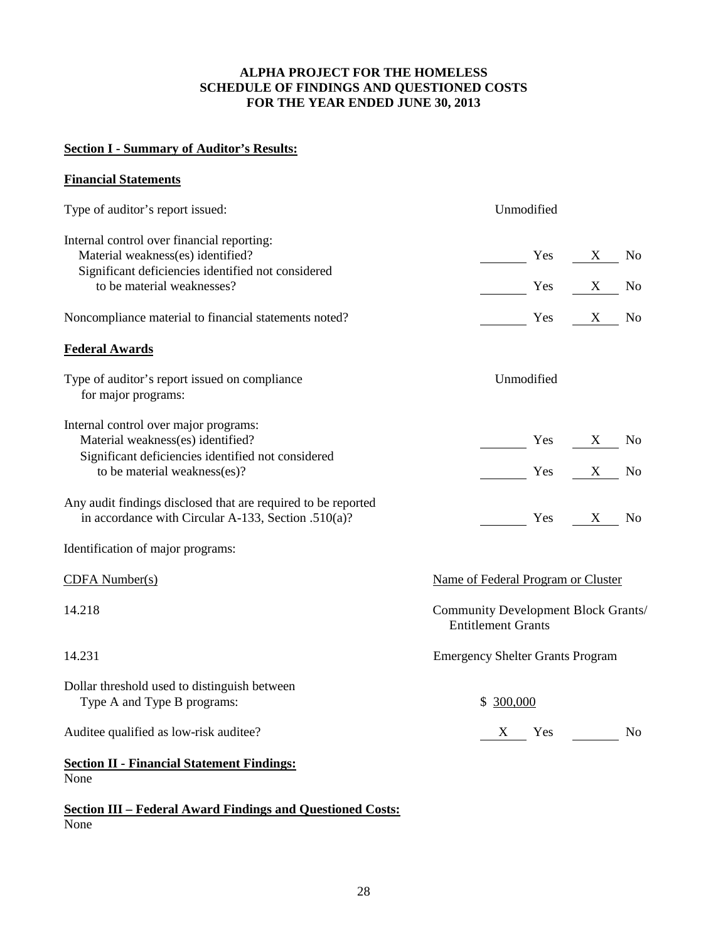## **ALPHA PROJECT FOR THE HOMELESS SCHEDULE OF FINDINGS AND QUESTIONED COSTS FOR THE YEAR ENDED JUNE 30, 2013**

## **Section I - Summary of Auditor's Results:**

# **Financial Statements**

| Type of auditor's report issued:                                                                                                      | Unmodified                                                              |                |
|---------------------------------------------------------------------------------------------------------------------------------------|-------------------------------------------------------------------------|----------------|
| Internal control over financial reporting:<br>Material weakness(es) identified?<br>Significant deficiencies identified not considered | $Yes$ X                                                                 | No             |
| to be material weaknesses?                                                                                                            | $Yes$ X No                                                              |                |
| Noncompliance material to financial statements noted?                                                                                 | $Yes$ X No                                                              |                |
| <b>Federal Awards</b>                                                                                                                 |                                                                         |                |
| Type of auditor's report issued on compliance<br>for major programs:                                                                  | Unmodified                                                              |                |
| Internal control over major programs:<br>Material weakness(es) identified?<br>Significant deficiencies identified not considered      | $\frac{1}{1}$ Yes $\frac{X}{1}$ No                                      |                |
| to be material weakness(es)?                                                                                                          | $Yes$ X No                                                              |                |
| Any audit findings disclosed that are required to be reported<br>in accordance with Circular A-133, Section .510(a)?                  | $Yes$ X No                                                              |                |
| Identification of major programs:                                                                                                     |                                                                         |                |
| <b>CDFA</b> Number(s)                                                                                                                 | Name of Federal Program or Cluster                                      |                |
| 14.218                                                                                                                                | <b>Community Development Block Grants/</b><br><b>Entitlement Grants</b> |                |
| 14.231                                                                                                                                | <b>Emergency Shelter Grants Program</b>                                 |                |
| Dollar threshold used to distinguish between<br>Type A and Type B programs:                                                           | \$300,000                                                               |                |
| Auditee qualified as low-risk auditee?                                                                                                | X Yes                                                                   | N <sub>o</sub> |
| <b>Section II - Financial Statement Findings:</b><br>None                                                                             |                                                                         |                |

None

**Section III – Federal Award Findings and Questioned Costs:**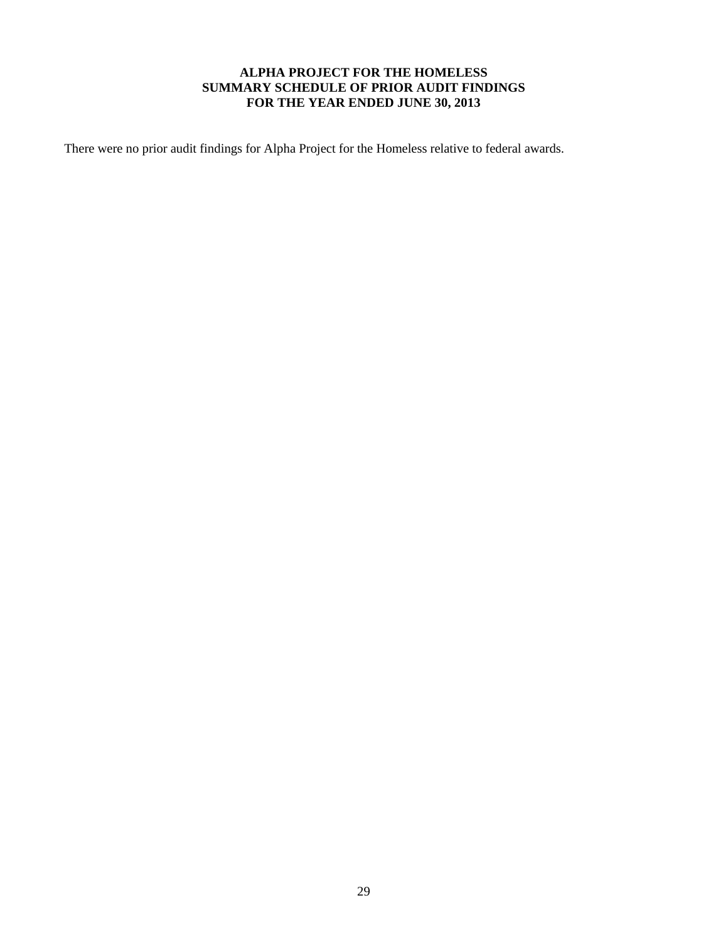## **ALPHA PROJECT FOR THE HOMELESS SUMMARY SCHEDULE OF PRIOR AUDIT FINDINGS FOR THE YEAR ENDED JUNE 30, 2013**

There were no prior audit findings for Alpha Project for the Homeless relative to federal awards.